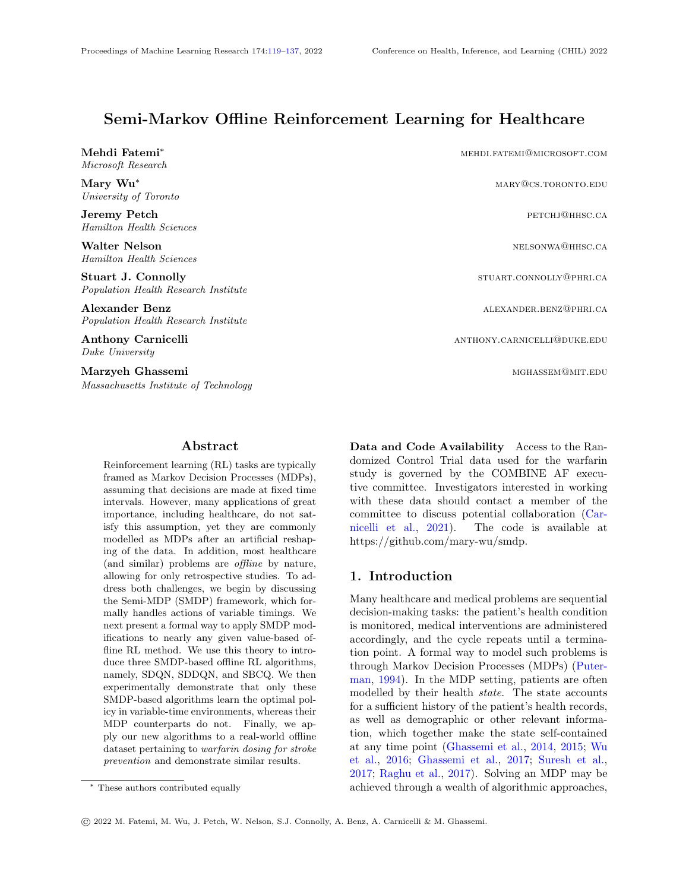# Semi-Markov Offline Reinforcement Learning for Healthcare

Mehdi Fatemi<sup>∗</sup> mehrine mehrine mehrine mehrine mehrine mehrine mehrine mehrine mehrine mehrine mehrine mehrine me Microsoft Research

University of Toronto

Hamilton Health Sciences

Hamilton Health Sciences

Population Health Research Institute

Population Health Research Institute

Duke University

Massachusetts Institute of Technology

#### Abstract

<span id="page-0-0"></span>Reinforcement learning (RL) tasks are typically framed as Markov Decision Processes (MDPs), assuming that decisions are made at fixed time intervals. However, many applications of great importance, including healthcare, do not satisfy this assumption, yet they are commonly modelled as MDPs after an artificial reshaping of the data. In addition, most healthcare (and similar) problems are offline by nature, allowing for only retrospective studies. To address both challenges, we begin by discussing the Semi-MDP (SMDP) framework, which formally handles actions of variable timings. We next present a formal way to apply SMDP modifications to nearly any given value-based offline RL method. We use this theory to introduce three SMDP-based offline RL algorithms, namely, SDQN, SDDQN, and SBCQ. We then experimentally demonstrate that only these SMDP-based algorithms learn the optimal policy in variable-time environments, whereas their MDP counterparts do not. Finally, we apply our new algorithms to a real-world offline dataset pertaining to warfarin dosing for stroke prevention and demonstrate similar results.

Mary Wu<sup>∗</sup> mary Wu∗ mary@cs.toronto.edu Jeremy Petch **petch** percent percent percent percent percent percent percent percent percent percent percent percent percent percent percent percent percent percent percent percent percent percent percent percent percent p Walter Nelson nelson nelson nelson nelson nelson nelson nelson nelson nelson nelson nelson nelson nelson nelson nelson nelson nelson nelson nelson nelson nelson nelson nelson nelson nelson nelson nelson nelson nelson nelso Stuart J. Connolly **Stuart A. Connolly** STUART.CONNOLLY **@PHRI.CA** Alexander Benz alexander benz alexander benz alexander. Benz alexander benz alexander benz alexander. Benz alexander benz alexander benz alexander benz alexander benz alexander benz alexander benz alexander benz alexander Anthony Carnicelli and the controlling of the controlling anthony. Carnicelli and the controlling and the controlling and the controlling and the controlling and the controlling and the controlling and the controlling and Marzyeh Ghassemi mghassem@mit.edu

> Data and Code Availability Access to the Randomized Control Trial data used for the warfarin study is governed by the COMBINE AF executive committee. Investigators interested in working with these data should contact a member of the committee to discuss potential collaboration [\(Car](#page-10-0)[nicelli et al.,](#page-10-0) [2021\)](#page-10-0). The code is available at https://github.com/mary-wu/smdp.

## 1. Introduction

Many healthcare and medical problems are sequential decision-making tasks: the patient's health condition is monitored, medical interventions are administered accordingly, and the cycle repeats until a termination point. A formal way to model such problems is through Markov Decision Processes (MDPs) [\(Puter](#page-13-0)[man,](#page-13-0) [1994\)](#page-13-0). In the MDP setting, patients are often modelled by their health state. The state accounts for a sufficient history of the patient's health records, as well as demographic or other relevant information, which together make the state self-contained at any time point [\(Ghassemi et al.,](#page-11-0) [2014,](#page-11-0) [2015;](#page-11-1) [Wu](#page-14-0) [et al.,](#page-14-0) [2016;](#page-14-0) [Ghassemi et al.,](#page-11-2) [2017;](#page-11-2) [Suresh et al.,](#page-13-1) [2017;](#page-13-1) [Raghu et al.,](#page-13-2) [2017\)](#page-13-2). Solving an MDP may be achieved through a wealth of algorithmic approaches,

<sup>∗</sup> These authors contributed equally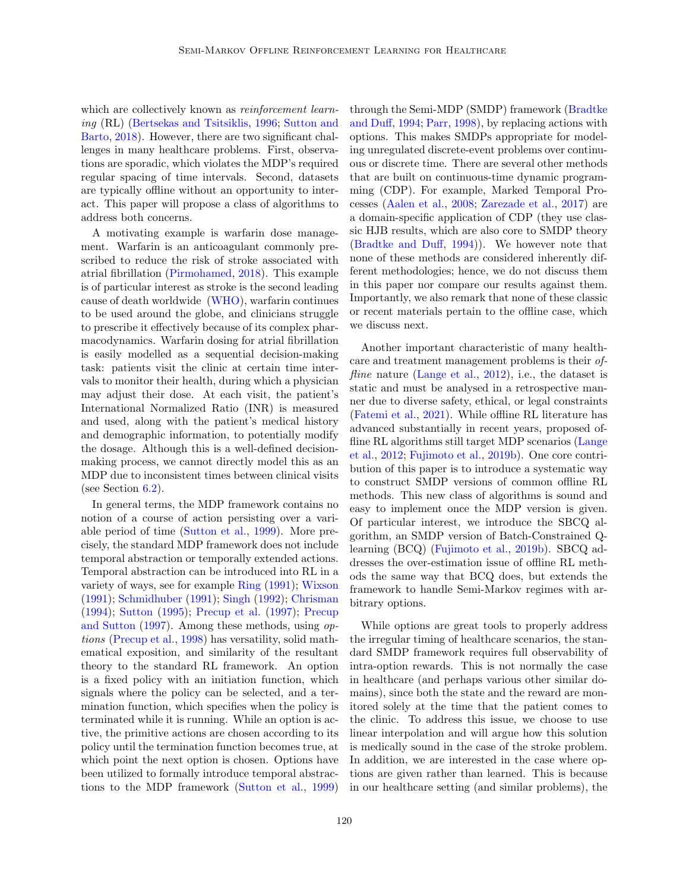which are collectively known as *reinforcement learn*ing (RL) [\(Bertsekas and Tsitsiklis,](#page-10-1) [1996;](#page-10-1) [Sutton and](#page-13-3) [Barto,](#page-13-3) [2018\)](#page-13-3). However, there are two significant challenges in many healthcare problems. First, observations are sporadic, which violates the MDP's required regular spacing of time intervals. Second, datasets are typically offline without an opportunity to interact. This paper will propose a class of algorithms to address both concerns.

A motivating example is warfarin dose management. Warfarin is an anticoagulant commonly prescribed to reduce the risk of stroke associated with atrial fibrillation [\(Pirmohamed,](#page-12-0) [2018\)](#page-12-0). This example is of particular interest as stroke is the second leading cause of death worldwide [\(WHO\)](#page-14-1), warfarin continues to be used around the globe, and clinicians struggle to prescribe it effectively because of its complex pharmacodynamics. Warfarin dosing for atrial fibrillation is easily modelled as a sequential decision-making task: patients visit the clinic at certain time intervals to monitor their health, during which a physician may adjust their dose. At each visit, the patient's International Normalized Ratio (INR) is measured and used, along with the patient's medical history and demographic information, to potentially modify the dosage. Although this is a well-defined decisionmaking process, we cannot directly model this as an MDP due to inconsistent times between clinical visits (see Section [6.2\)](#page-9-0).

In general terms, the MDP framework contains no notion of a course of action persisting over a variable period of time [\(Sutton et al.,](#page-14-2) [1999\)](#page-14-2). More precisely, the standard MDP framework does not include temporal abstraction or temporally extended actions. Temporal abstraction can be introduced into RL in a variety of ways, see for example [Ring](#page-13-4) [\(1991\)](#page-13-4); [Wixson](#page-14-3) [\(1991\)](#page-14-3); [Schmidhuber](#page-13-5) [\(1991\)](#page-13-5); [Singh](#page-13-6) [\(1992\)](#page-13-6); [Chrisman](#page-11-3) [\(1994\)](#page-11-3); [Sutton](#page-14-4) [\(1995\)](#page-14-4); [Precup et al.](#page-13-7) [\(1997\)](#page-13-7); [Precup](#page-13-8) [and Sutton](#page-13-8) [\(1997\)](#page-13-8). Among these methods, using options [\(Precup et al.,](#page-13-9) [1998\)](#page-13-9) has versatility, solid mathematical exposition, and similarity of the resultant theory to the standard RL framework. An option is a fixed policy with an initiation function, which signals where the policy can be selected, and a termination function, which specifies when the policy is terminated while it is running. While an option is active, the primitive actions are chosen according to its policy until the termination function becomes true, at which point the next option is chosen. Options have been utilized to formally introduce temporal abstractions to the MDP framework [\(Sutton et al.,](#page-14-2) [1999\)](#page-14-2) through the Semi-MDP (SMDP) framework [\(Bradtke](#page-10-2) [and Duff,](#page-10-2) [1994;](#page-10-2) [Parr,](#page-12-1) [1998\)](#page-12-1), by replacing actions with options. This makes SMDPs appropriate for modeling unregulated discrete-event problems over continuous or discrete time. There are several other methods that are built on continuous-time dynamic programming (CDP). For example, Marked Temporal Processes [\(Aalen et al.,](#page-10-3) [2008;](#page-10-3) [Zarezade et al.,](#page-14-5) [2017\)](#page-14-5) are a domain-specific application of CDP (they use classic HJB results, which are also core to SMDP theory [\(Bradtke and Duff,](#page-10-2) [1994\)](#page-10-2)). We however note that none of these methods are considered inherently different methodologies; hence, we do not discuss them in this paper nor compare our results against them. Importantly, we also remark that none of these classic or recent materials pertain to the offline case, which we discuss next.

Another important characteristic of many healthcare and treatment management problems is their of*fline* nature [\(Lange et al.,](#page-12-2) [2012\)](#page-12-2), i.e., the dataset is static and must be analysed in a retrospective manner due to diverse safety, ethical, or legal constraints [\(Fatemi et al.,](#page-11-4) [2021\)](#page-11-4). While offline RL literature has advanced substantially in recent years, proposed offline RL algorithms still target MDP scenarios [\(Lange](#page-12-2) [et al.,](#page-12-2) [2012;](#page-12-2) [Fujimoto et al.,](#page-11-5) [2019b\)](#page-11-5). One core contribution of this paper is to introduce a systematic way to construct SMDP versions of common offline RL methods. This new class of algorithms is sound and easy to implement once the MDP version is given. Of particular interest, we introduce the SBCQ algorithm, an SMDP version of Batch-Constrained Qlearning (BCQ) [\(Fujimoto et al.,](#page-11-5) [2019b\)](#page-11-5). SBCQ addresses the over-estimation issue of offline RL methods the same way that BCQ does, but extends the framework to handle Semi-Markov regimes with arbitrary options.

While options are great tools to properly address the irregular timing of healthcare scenarios, the standard SMDP framework requires full observability of intra-option rewards. This is not normally the case in healthcare (and perhaps various other similar domains), since both the state and the reward are monitored solely at the time that the patient comes to the clinic. To address this issue, we choose to use linear interpolation and will argue how this solution is medically sound in the case of the stroke problem. In addition, we are interested in the case where options are given rather than learned. This is because in our healthcare setting (and similar problems), the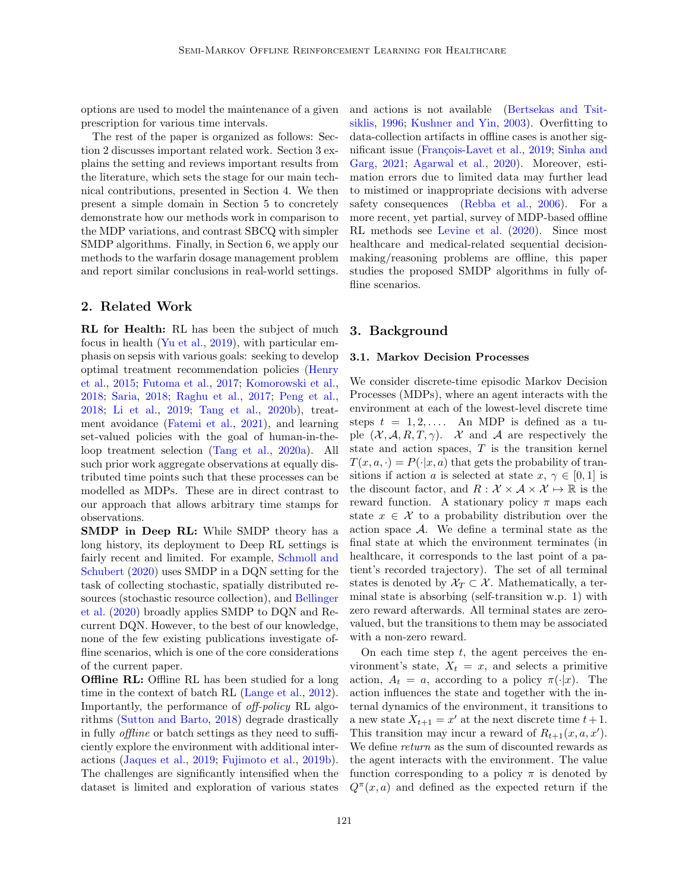options are used to model the maintenance of a given prescription for various time intervals.

The rest of the paper is organized as follows: Section 2 discusses important related work. Section 3 explains the setting and reviews important results from the literature, which sets the stage for our main technical contributions, presented in Section 4. We then present a simple domain in Section 5 to concretely demonstrate how our methods work in comparison to the MDP variations, and contrast SBCQ with simpler SMDP algorithms. Finally, in Section 6, we apply our methods to the warfarin dosage management problem and report similar conclusions in real-world settings.

## 2. Related Work

RL for Health: RL has been the subject of much focus in health [\(Yu et al.,](#page-14-6) [2019\)](#page-14-6), with particular emphasis on sepsis with various goals: seeking to develop optimal treatment recommendation policies [\(Henry](#page-12-3) [et al.,](#page-12-3) [2015;](#page-12-3) [Futoma et al.,](#page-11-6) [2017;](#page-11-6) [Komorowski et al.,](#page-12-4) [2018;](#page-12-4) [Saria,](#page-13-10) [2018;](#page-13-10) [Raghu et al.,](#page-13-2) [2017;](#page-13-2) [Peng et al.,](#page-12-5) [2018;](#page-12-5) [Li et al.,](#page-12-6) [2019;](#page-12-6) [Tang et al.,](#page-14-7) [2020b\)](#page-14-7), treatment avoidance [\(Fatemi et al.,](#page-11-4) [2021\)](#page-11-4), and learning set-valued policies with the goal of human-in-theloop treatment selection [\(Tang et al.,](#page-14-8) [2020a\)](#page-14-8). All such prior work aggregate observations at equally distributed time points such that these processes can be modelled as MDPs. These are in direct contrast to our approach that allows arbitrary time stamps for observations.

SMDP in Deep RL: While SMDP theory has a long history, its deployment to Deep RL settings is fairly recent and limited. For example, [Schmoll and](#page-13-11) [Schubert](#page-13-11) [\(2020\)](#page-13-11) uses SMDP in a DQN setting for the task of collecting stochastic, spatially distributed resources (stochastic resource collection), and [Bellinger](#page-10-4) [et al.](#page-10-4) [\(2020\)](#page-10-4) broadly applies SMDP to DQN and Recurrent DQN. However, to the best of our knowledge, none of the few existing publications investigate offline scenarios, which is one of the core considerations of the current paper.

**Offline RL:** Offline RL has been studied for a long time in the context of batch RL [\(Lange et al.,](#page-12-2) [2012\)](#page-12-2). Importantly, the performance of off-policy RL algorithms [\(Sutton and Barto,](#page-13-3) [2018\)](#page-13-3) degrade drastically in fully offline or batch settings as they need to sufficiently explore the environment with additional interactions [\(Jaques et al.,](#page-12-7) [2019;](#page-12-7) [Fujimoto et al.,](#page-11-5) [2019b\)](#page-11-5). The challenges are significantly intensified when the dataset is limited and exploration of various states and actions is not available [\(Bertsekas and Tsit](#page-10-1)[siklis,](#page-10-1) [1996;](#page-10-1) [Kushner and Yin,](#page-12-8) [2003\)](#page-12-8). Overfitting to data-collection artifacts in offline cases is another sig-nificant issue (François-Lavet et al., [2019;](#page-11-7) [Sinha and](#page-13-12) [Garg,](#page-13-12) [2021;](#page-13-12) [Agarwal et al.,](#page-10-5) [2020\)](#page-10-5). Moreover, estimation errors due to limited data may further lead to mistimed or inappropriate decisions with adverse safety consequences [\(Rebba et al.,](#page-13-13) [2006\)](#page-13-13). For a more recent, yet partial, survey of MDP-based offline RL methods see [Levine et al.](#page-12-9) [\(2020\)](#page-12-9). Since most healthcare and medical-related sequential decisionmaking/reasoning problems are offline, this paper studies the proposed SMDP algorithms in fully offline scenarios.

## 3. Background

#### 3.1. Markov Decision Processes

We consider discrete-time episodic Markov Decision Processes (MDPs), where an agent interacts with the environment at each of the lowest-level discrete time steps  $t = 1, 2, \ldots$  An MDP is defined as a tuple  $(\mathcal{X}, \mathcal{A}, R, T, \gamma)$ . X and A are respectively the state and action spaces,  $T$  is the transition kernel  $T(x, a, \cdot) = P(\cdot | x, a)$  that gets the probability of transitions if action a is selected at state  $x, \gamma \in [0, 1]$  is the discount factor, and  $R : \mathcal{X} \times \mathcal{A} \times \mathcal{X} \mapsto \mathbb{R}$  is the reward function. A stationary policy  $\pi$  maps each state  $x \in \mathcal{X}$  to a probability distribution over the action space  $A$ . We define a terminal state as the final state at which the environment terminates (in healthcare, it corresponds to the last point of a patient's recorded trajectory). The set of all terminal states is denoted by  $\mathcal{X}_T \subset \mathcal{X}$ . Mathematically, a terminal state is absorbing (self-transition w.p. 1) with zero reward afterwards. All terminal states are zerovalued, but the transitions to them may be associated with a non-zero reward.

On each time step  $t$ , the agent perceives the environment's state,  $X_t = x$ , and selects a primitive action,  $A_t = a$ , according to a policy  $\pi(\cdot|x)$ . The action influences the state and together with the internal dynamics of the environment, it transitions to a new state  $X_{t+1} = x'$  at the next discrete time  $t+1$ . This transition may incur a reward of  $R_{t+1}(x, a, x')$ . We define return as the sum of discounted rewards as the agent interacts with the environment. The value function corresponding to a policy  $\pi$  is denoted by  $Q^{\pi}(x, a)$  and defined as the expected return if the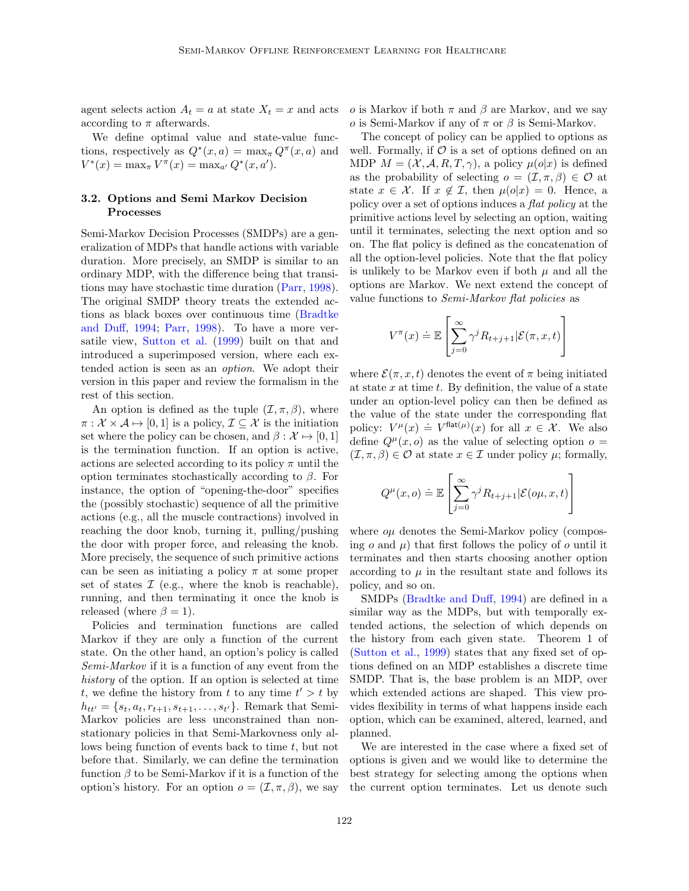agent selects action  $A_t = a$  at state  $X_t = x$  and acts according to  $\pi$  afterwards.

We define optimal value and state-value functions, respectively as  $Q^*(x, a) = \max_{\pi} Q^{\pi}(x, a)$  and  $V^*(x) = \max_{\pi} V^{\pi}(x) = \max_{a'} Q^*(x, a').$ 

## 3.2. Options and Semi Markov Decision Processes

Semi-Markov Decision Processes (SMDPs) are a generalization of MDPs that handle actions with variable duration. More precisely, an SMDP is similar to an ordinary MDP, with the difference being that transitions may have stochastic time duration [\(Parr,](#page-12-1) [1998\)](#page-12-1). The original SMDP theory treats the extended actions as black boxes over continuous time [\(Bradtke](#page-10-2) [and Duff,](#page-10-2) [1994;](#page-10-2) [Parr,](#page-12-1) [1998\)](#page-12-1). To have a more versatile view, [Sutton et al.](#page-14-2) [\(1999\)](#page-14-2) built on that and introduced a superimposed version, where each extended action is seen as an option. We adopt their version in this paper and review the formalism in the rest of this section.

An option is defined as the tuple  $(\mathcal{I}, \pi, \beta)$ , where  $\pi : \mathcal{X} \times \mathcal{A} \mapsto [0, 1]$  is a policy,  $\mathcal{I} \subseteq \mathcal{X}$  is the initiation set where the policy can be chosen, and  $\beta : \mathcal{X} \mapsto [0, 1]$ is the termination function. If an option is active, actions are selected according to its policy  $\pi$  until the option terminates stochastically according to  $\beta$ . For instance, the option of "opening-the-door" specifies the (possibly stochastic) sequence of all the primitive actions (e.g., all the muscle contractions) involved in reaching the door knob, turning it, pulling/pushing the door with proper force, and releasing the knob. More precisely, the sequence of such primitive actions can be seen as initiating a policy  $\pi$  at some proper set of states  $\mathcal I$  (e.g., where the knob is reachable), running, and then terminating it once the knob is released (where  $\beta = 1$ ).

Policies and termination functions are called Markov if they are only a function of the current state. On the other hand, an option's policy is called Semi-Markov if it is a function of any event from the history of the option. If an option is selected at time t, we define the history from t to any time  $t' > t$  by  $h_{tt'} = \{s_t, a_t, r_{t+1}, s_{t+1}, \dots, s_{t'}\}.$  Remark that Semi-Markov policies are less unconstrained than nonstationary policies in that Semi-Markovness only allows being function of events back to time  $t$ , but not before that. Similarly, we can define the termination function  $\beta$  to be Semi-Markov if it is a function of the option's history. For an option  $o = (\mathcal{I}, \pi, \beta)$ , we say

o is Markov if both  $\pi$  and  $\beta$  are Markov, and we say o is Semi-Markov if any of  $\pi$  or  $\beta$  is Semi-Markov.

The concept of policy can be applied to options as well. Formally, if  $\mathcal O$  is a set of options defined on an MDP  $M = (\mathcal{X}, \mathcal{A}, R, T, \gamma)$ , a policy  $\mu(o|x)$  is defined as the probability of selecting  $o = (\mathcal{I}, \pi, \beta) \in \mathcal{O}$  at state  $x \in \mathcal{X}$ . If  $x \notin \mathcal{I}$ , then  $\mu(o|x) = 0$ . Hence, a policy over a set of options induces a flat policy at the primitive actions level by selecting an option, waiting until it terminates, selecting the next option and so on. The flat policy is defined as the concatenation of all the option-level policies. Note that the flat policy is unlikely to be Markov even if both  $\mu$  and all the options are Markov. We next extend the concept of value functions to Semi-Markov flat policies as

$$
V^{\pi}(x) \doteq \mathbb{E}\left[\sum_{j=0}^{\infty} \gamma^{j} R_{t+j+1} | \mathcal{E}(\pi, x, t)\right]
$$

where  $\mathcal{E}(\pi, x, t)$  denotes the event of  $\pi$  being initiated at state  $x$  at time  $t$ . By definition, the value of a state under an option-level policy can then be defined as the value of the state under the corresponding flat policy:  $V^{\mu}(x) \doteq V^{\text{flat}(\mu)}(x)$  for all  $x \in \mathcal{X}$ . We also define  $Q^{\mu}(x, o)$  as the value of selecting option  $o =$  $(\mathcal{I}, \pi, \beta) \in \mathcal{O}$  at state  $x \in \mathcal{I}$  under policy  $\mu$ ; formally,

$$
Q^{\mu}(x, o) \doteq \mathbb{E}\left[\sum_{j=0}^{\infty} \gamma^{j} R_{t+j+1} | \mathcal{E}(o\mu, x, t)\right]
$$

where  $o\mu$  denotes the Semi-Markov policy (composing  $o$  and  $\mu$ ) that first follows the policy of  $o$  until it terminates and then starts choosing another option according to  $\mu$  in the resultant state and follows its policy, and so on.

SMDPs [\(Bradtke and Duff,](#page-10-2) [1994\)](#page-10-2) are defined in a similar way as the MDPs, but with temporally extended actions, the selection of which depends on the history from each given state. Theorem 1 of [\(Sutton et al.,](#page-14-2) [1999\)](#page-14-2) states that any fixed set of options defined on an MDP establishes a discrete time SMDP. That is, the base problem is an MDP, over which extended actions are shaped. This view provides flexibility in terms of what happens inside each option, which can be examined, altered, learned, and planned.

We are interested in the case where a fixed set of options is given and we would like to determine the best strategy for selecting among the options when the current option terminates. Let us denote such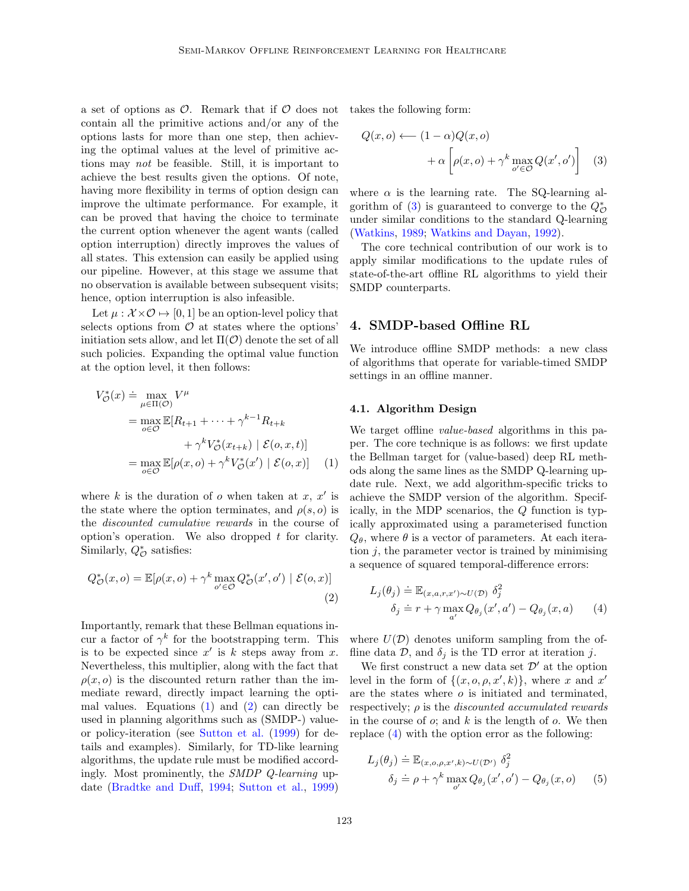a set of options as  $\mathcal{O}$ . Remark that if  $\mathcal O$  does not contain all the primitive actions and/or any of the options lasts for more than one step, then achieving the optimal values at the level of primitive actions may not be feasible. Still, it is important to achieve the best results given the options. Of note, having more flexibility in terms of option design can improve the ultimate performance. For example, it can be proved that having the choice to terminate the current option whenever the agent wants (called option interruption) directly improves the values of all states. This extension can easily be applied using our pipeline. However, at this stage we assume that no observation is available between subsequent visits; hence, option interruption is also infeasible.

Let  $\mu : \mathcal{X} \times \mathcal{O} \mapsto [0, 1]$  be an option-level policy that selects options from  $\mathcal O$  at states where the options' initiation sets allow, and let  $\Pi(\mathcal{O})$  denote the set of all such policies. Expanding the optimal value function at the option level, it then follows:

$$
V_{\mathcal{O}}^*(x) \doteq \max_{\mu \in \Pi(\mathcal{O})} V^{\mu}
$$
  
= 
$$
\max_{o \in \mathcal{O}} \mathbb{E}[R_{t+1} + \dots + \gamma^{k-1} R_{t+k} + \gamma^k V_{\mathcal{O}}^*(x_{t+k}) | \mathcal{E}(o, x, t)]
$$
  
= 
$$
\max_{o \in \mathcal{O}} \mathbb{E}[\rho(x, o) + \gamma^k V_{\mathcal{O}}^*(x') | \mathcal{E}(o, x)] \quad (1)
$$

where  $k$  is the duration of  $o$  when taken at  $x, x'$  is the state where the option terminates, and  $\rho(s, o)$  is the discounted cumulative rewards in the course of option's operation. We also dropped  $t$  for clarity. Similarly,  $Q_{\mathcal{O}}^*$  satisfies:

$$
Q_{\mathcal{O}}^*(x, o) = \mathbb{E}[\rho(x, o) + \gamma^k \max_{o' \in \mathcal{O}} Q_{\mathcal{O}}^*(x', o') | \mathcal{E}(o, x)]
$$
\n(2)

Importantly, remark that these Bellman equations incur a factor of  $\gamma^k$  for the bootstrapping term. This is to be expected since  $x'$  is  $k$  steps away from  $x$ . Nevertheless, this multiplier, along with the fact that  $\rho(x, o)$  is the discounted return rather than the immediate reward, directly impact learning the optimal values. Equations  $(1)$  and  $(2)$  can directly be used in planning algorithms such as (SMDP-) valueor policy-iteration (see [Sutton et al.](#page-14-2) [\(1999\)](#page-14-2) for details and examples). Similarly, for TD-like learning algorithms, the update rule must be modified accordingly. Most prominently, the SMDP Q-learning update [\(Bradtke and Duff,](#page-10-2) [1994;](#page-10-2) [Sutton et al.,](#page-14-2) [1999\)](#page-14-2)

takes the following form:

<span id="page-4-2"></span>
$$
Q(x, o) \longleftarrow (1 - \alpha) Q(x, o)
$$

$$
+ \alpha \left[ \rho(x, o) + \gamma^k \max_{o' \in \mathcal{O}} Q(x', o') \right] \quad (3)
$$

where  $\alpha$  is the learning rate. The SQ-learning al-gorithm of [\(3\)](#page-4-2) is guaranteed to converge to the  $Q_{\mathcal{O}}^*$ under similar conditions to the standard Q-learning [\(Watkins,](#page-14-9) [1989;](#page-14-9) [Watkins and Dayan,](#page-14-10) [1992\)](#page-14-10).

The core technical contribution of our work is to apply similar modifications to the update rules of state-of-the-art offline RL algorithms to yield their SMDP counterparts.

#### <span id="page-4-5"></span>4. SMDP-based Offline RL

We introduce offline SMDP methods: a new class of algorithms that operate for variable-timed SMDP settings in an offline manner.

#### 4.1. Algorithm Design

<span id="page-4-0"></span>We target offline *value-based* algorithms in this paper. The core technique is as follows: we first update the Bellman target for (value-based) deep RL methods along the same lines as the SMDP Q-learning update rule. Next, we add algorithm-specific tricks to achieve the SMDP version of the algorithm. Specifically, in the MDP scenarios, the Q function is typically approximated using a parameterised function  $Q_{\theta}$ , where  $\theta$  is a vector of parameters. At each iteration  $j$ , the parameter vector is trained by minimising a sequence of squared temporal-difference errors:

<span id="page-4-3"></span><span id="page-4-1"></span>
$$
L_j(\theta_j) \doteq \mathbb{E}_{(x,a,r,x') \sim U(\mathcal{D})} \delta_j^2
$$
  

$$
\delta_j \doteq r + \gamma \max_{a'} Q_{\theta_j}(x',a') - Q_{\theta_j}(x,a)
$$
 (4)

where  $U(\mathcal{D})$  denotes uniform sampling from the offline data  $\mathcal{D}$ , and  $\delta_i$  is the TD error at iteration j.

We first construct a new data set  $\mathcal{D}'$  at the option level in the form of  $\{(x, o, \rho, x', k)\}\$ , where x and x' are the states where  $o$  is initiated and terminated, respectively;  $\rho$  is the *discounted accumulated rewards* in the course of  $\alpha$ ; and  $k$  is the length of  $\alpha$ . We then replace [\(4\)](#page-4-3) with the option error as the following:

<span id="page-4-4"></span>
$$
L_j(\theta_j) \doteq \mathbb{E}_{(x,o,\rho,x',k)\sim U(\mathcal{D}')} \delta_j^2
$$
  

$$
\delta_j \doteq \rho + \gamma^k \max_{o'} Q_{\theta_j}(x',o') - Q_{\theta_j}(x,o) \qquad (5)
$$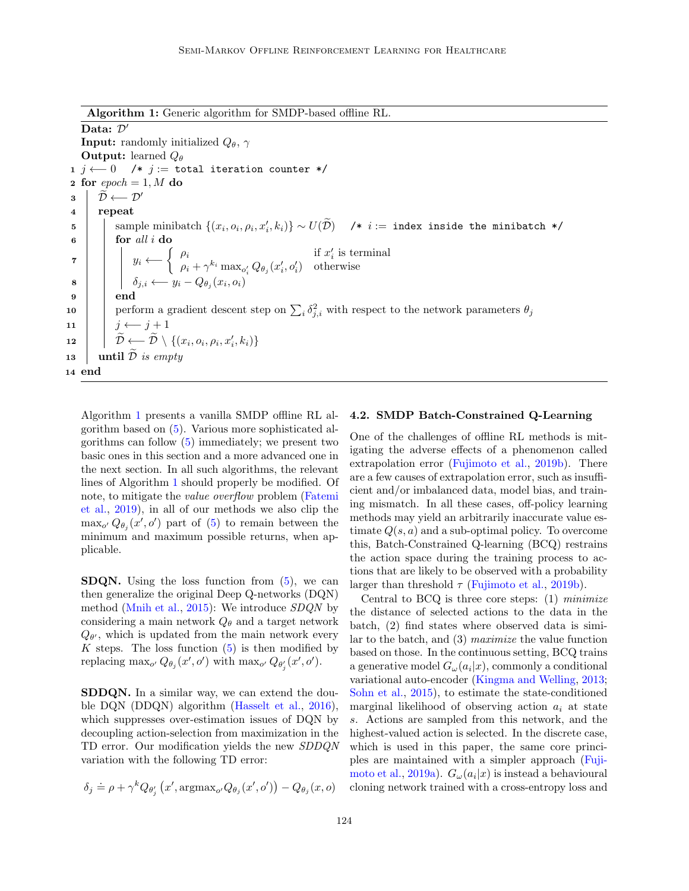Algorithm 1: Generic algorithm for SMDP-based offline RL.

<span id="page-5-0"></span>Data:  $D$ **Input:** randomly initialized  $Q_{\theta}$ ,  $\gamma$ **Output:** learned  $Q_{\theta}$ 1 j ← 0 /\* j := total iteration counter \*/ 2 for  $epoch = 1, M$  do  $\begin{array}{c|c} \mathbf{3} & \widetilde{\mathcal{D}} \longleftarrow \mathcal{D}' \\ \mathbf{4} & \mathbf{reheat} \end{array}$ repeat 5 sample minibatch  $\{(x_i, o_i, \rho_i, x'_i, k_i)\} \sim U(\widetilde{\mathcal{D}})$  /\* i := index inside the minibatch \*/  $\mathbf{6}$  | for all i do  $\begin{array}{c|c|c|c|c|c} \hline \text{7} & & \text{1f } x'_i \text{ is terminal} \ \hline \end{array}$  $\rho_i + \gamma^{k_i} \max_{o'_i} Q_{\theta_j}(x'_i, o'_i)$  otherwise 8  $\vert \vert \ \delta_{j,i} \longleftarrow y_i - Q_{\theta_j}(x_i,o_i)$  $9 \mid \cdot \mid$  end 10 perform a gradient descent step on  $\sum_i \delta_{j,i}^2$  with respect to the network parameters  $\theta_j$ 11 |  $j \leftarrow j+1$  $\begin{array}{|c|c|}\hline \textbf{12} & \hat{\mathcal{D}} & \leftarrow & \widetilde{\mathcal{D}} \setminus \{(x_i, o_i, \rho_i, x_i', k_i)\} \ \hline \end{array}$ 13 | until  $\overline{\mathcal{D}}$  is empty 14 end

Algorithm [1](#page-5-0) presents a vanilla SMDP offline RL algorithm based on [\(5\)](#page-4-4). Various more sophisticated algorithms can follow [\(5\)](#page-4-4) immediately; we present two basic ones in this section and a more advanced one in the next section. In all such algorithms, the relevant lines of Algorithm [1](#page-5-0) should properly be modified. Of note, to mitigate the value overflow problem [\(Fatemi](#page-11-8) [et al.,](#page-11-8) [2019\)](#page-11-8), in all of our methods we also clip the  $\max_{o'} Q_{\theta_j}(x', o')$  part of [\(5\)](#page-4-4) to remain between the minimum and maximum possible returns, when applicable.

**SDQN.** Using the loss function from  $(5)$ , we can then generalize the original Deep Q-networks (DQN) method [\(Mnih et al.,](#page-12-10) [2015\)](#page-12-10): We introduce  $SDQN$  by considering a main network  $Q_\theta$  and a target network  $Q_{\theta}$ , which is updated from the main network every K steps. The loss function  $(5)$  is then modified by replacing  $\max_{o'} Q_{\theta_j}(x', o')$  with  $\max_{o'} Q_{\theta'_j}(x', o').$ 

SDDQN. In a similar way, we can extend the double DQN (DDQN) algorithm [\(Hasselt et al.,](#page-12-11) [2016\)](#page-12-11), which suppresses over-estimation issues of DQN by decoupling action-selection from maximization in the TD error. Our modification yields the new SDDQN variation with the following TD error:

$$
\delta_j \doteq \rho + \gamma^k Q_{\theta'_j} (x', \text{argmax}_{o'} Q_{\theta_j} (x', o')) - Q_{\theta_j} (x, o)
$$

#### 4.2. SMDP Batch-Constrained Q-Learning

One of the challenges of offline RL methods is mitigating the adverse effects of a phenomenon called extrapolation error [\(Fujimoto et al.,](#page-11-5) [2019b\)](#page-11-5). There are a few causes of extrapolation error, such as insufficient and/or imbalanced data, model bias, and training mismatch. In all these cases, off-policy learning methods may yield an arbitrarily inaccurate value estimate  $Q(s, a)$  and a sub-optimal policy. To overcome this, Batch-Constrained Q-learning (BCQ) restrains the action space during the training process to actions that are likely to be observed with a probability larger than threshold  $\tau$  [\(Fujimoto et al.,](#page-11-5) [2019b\)](#page-11-5).

Central to BCQ is three core steps:  $(1)$  minimize the distance of selected actions to the data in the batch, (2) find states where observed data is similar to the batch, and (3) maximize the value function based on those. In the continuous setting, BCQ trains a generative model  $G_{\omega}(a_i|x)$ , commonly a conditional variational auto-encoder [\(Kingma and Welling,](#page-12-12) [2013;](#page-12-12) [Sohn et al.,](#page-13-14) [2015\)](#page-13-14), to estimate the state-conditioned marginal likelihood of observing action  $a_i$  at state s. Actions are sampled from this network, and the highest-valued action is selected. In the discrete case, which is used in this paper, the same core principles are maintained with a simpler approach [\(Fuji](#page-11-9)[moto et al.,](#page-11-9) [2019a\)](#page-11-9).  $G_{\omega}(a_i|x)$  is instead a behavioural cloning network trained with a cross-entropy loss and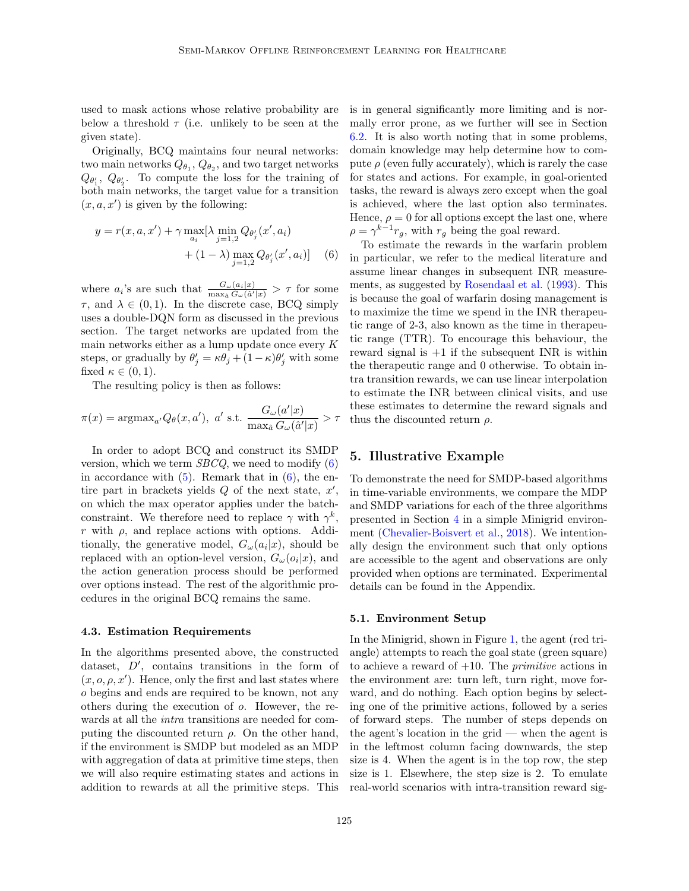used to mask actions whose relative probability are below a threshold  $\tau$  (i.e. unlikely to be seen at the given state).

Originally, BCQ maintains four neural networks: two main networks  $Q_{\theta_1}, Q_{\theta_2}$ , and two target networks  $Q_{\theta_1}, Q_{\theta_2}.$  To compute the loss for the training of both main networks, the target value for a transition  $(x, a, x')$  is given by the following:

$$
y = r(x, a, x') + \gamma \max_{a_i} [\lambda \min_{j=1,2} Q_{\theta'_j}(x', a_i) + (1 - \lambda) \max_{j=1,2} Q_{\theta'_j}(x', a_i)] \quad (6)
$$

where  $a_i$ 's are such that  $\frac{G_\omega(a_i|x)}{\max_a G_\omega(\hat{a}'|x)} > \tau$  for some  $\tau$ , and  $\lambda \in (0, 1)$ . In the discrete case, BCQ simply uses a double-DQN form as discussed in the previous section. The target networks are updated from the main networks either as a lump update once every  $K$ steps, or gradually by  $\theta'_{j} = \kappa \theta_{j} + (1 - \kappa) \theta'_{j}$  with some fixed  $\kappa \in (0,1)$ .

The resulting policy is then as follows:

$$
\pi(x) = \operatorname{argmax}_{a'} Q_{\theta}(x, a'), \ a' \text{ s.t. } \frac{G_{\omega}(a'|x)}{\max_{\hat{a}} G_{\omega}(\hat{a}'|x)} > \tau
$$

In order to adopt BCQ and construct its SMDP version, which we term  $SBCQ$ , we need to modify  $(6)$ in accordance with  $(5)$ . Remark that in  $(6)$ , the entire part in brackets yields  $Q$  of the next state,  $x'$ , on which the max operator applies under the batchconstraint. We therefore need to replace  $\gamma$  with  $\gamma^k$ , r with  $\rho$ , and replace actions with options. Additionally, the generative model,  $G_{\omega}(a_i|x)$ , should be replaced with an option-level version,  $G_{\omega}(o_i|x)$ , and the action generation process should be performed over options instead. The rest of the algorithmic procedures in the original BCQ remains the same.

#### <span id="page-6-1"></span>4.3. Estimation Requirements

In the algorithms presented above, the constructed dataset, D′ , contains transitions in the form of  $(x, o, \rho, x')$ . Hence, only the first and last states where o begins and ends are required to be known, not any others during the execution of o. However, the rewards at all the intra transitions are needed for computing the discounted return  $\rho$ . On the other hand, if the environment is SMDP but modeled as an MDP with aggregation of data at primitive time steps, then we will also require estimating states and actions in addition to rewards at all the primitive steps. This is in general significantly more limiting and is normally error prone, as we further will see in Section [6.2.](#page-9-0) It is also worth noting that in some problems, domain knowledge may help determine how to compute  $\rho$  (even fully accurately), which is rarely the case for states and actions. For example, in goal-oriented tasks, the reward is always zero except when the goal is achieved, where the last option also terminates. Hence,  $\rho = 0$  for all options except the last one, where  $\rho = \gamma^{k-1} r_g$ , with  $r_g$  being the goal reward.

<span id="page-6-0"></span>To estimate the rewards in the warfarin problem in particular, we refer to the medical literature and assume linear changes in subsequent INR measurements, as suggested by [Rosendaal et al.](#page-13-15) [\(1993\)](#page-13-15). This is because the goal of warfarin dosing management is to maximize the time we spend in the INR therapeutic range of 2-3, also known as the time in therapeutic range (TTR). To encourage this behaviour, the reward signal is  $+1$  if the subsequent INR is within the therapeutic range and 0 otherwise. To obtain intra transition rewards, we can use linear interpolation to estimate the INR between clinical visits, and use these estimates to determine the reward signals and thus the discounted return  $\rho$ .

#### 5. Illustrative Example

To demonstrate the need for SMDP-based algorithms in time-variable environments, we compare the MDP and SMDP variations for each of the three algorithms presented in Section [4](#page-4-5) in a simple Minigrid environment [\(Chevalier-Boisvert et al.,](#page-11-10) [2018\)](#page-11-10). We intentionally design the environment such that only options are accessible to the agent and observations are only provided when options are terminated. Experimental details can be found in the Appendix.

#### 5.1. Environment Setup

In the Minigrid, shown in Figure [1,](#page-7-0) the agent (red triangle) attempts to reach the goal state (green square) to achieve a reward of  $+10$ . The *primitive* actions in the environment are: turn left, turn right, move forward, and do nothing. Each option begins by selecting one of the primitive actions, followed by a series of forward steps. The number of steps depends on the agent's location in the grid — when the agent is in the leftmost column facing downwards, the step size is 4. When the agent is in the top row, the step size is 1. Elsewhere, the step size is 2. To emulate real-world scenarios with intra-transition reward sig-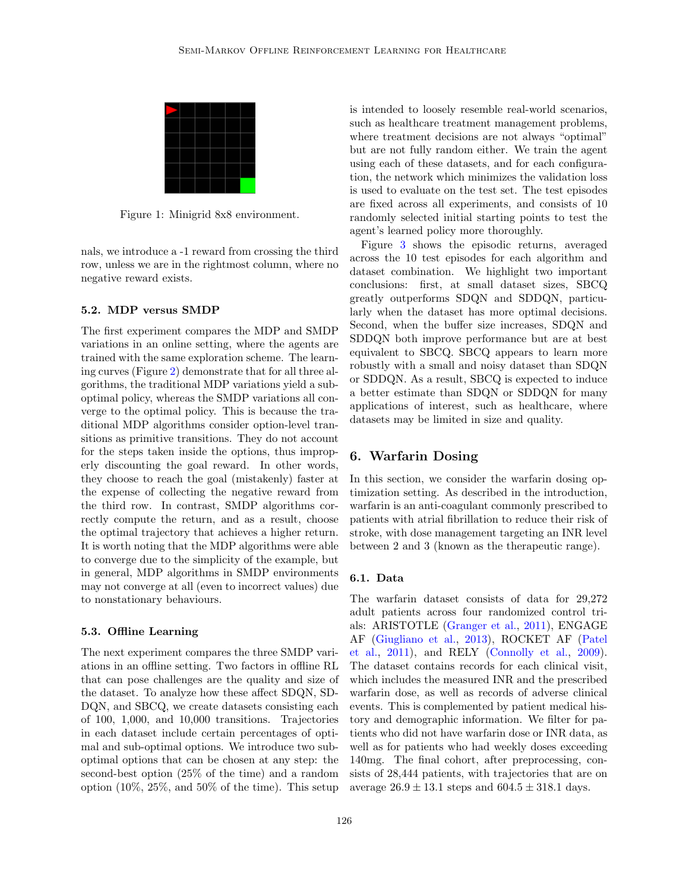

<span id="page-7-0"></span>Figure 1: Minigrid 8x8 environment.

nals, we introduce a -1 reward from crossing the third row, unless we are in the rightmost column, where no negative reward exists.

#### 5.2. MDP versus SMDP

The first experiment compares the MDP and SMDP variations in an online setting, where the agents are trained with the same exploration scheme. The learning curves (Figure [2\)](#page-8-0) demonstrate that for all three algorithms, the traditional MDP variations yield a suboptimal policy, whereas the SMDP variations all converge to the optimal policy. This is because the traditional MDP algorithms consider option-level transitions as primitive transitions. They do not account for the steps taken inside the options, thus improperly discounting the goal reward. In other words, they choose to reach the goal (mistakenly) faster at the expense of collecting the negative reward from the third row. In contrast, SMDP algorithms correctly compute the return, and as a result, choose the optimal trajectory that achieves a higher return. It is worth noting that the MDP algorithms were able to converge due to the simplicity of the example, but in general, MDP algorithms in SMDP environments may not converge at all (even to incorrect values) due to nonstationary behaviours.

#### 5.3. Offline Learning

The next experiment compares the three SMDP variations in an offline setting. Two factors in offline RL that can pose challenges are the quality and size of the dataset. To analyze how these affect SDQN, SD-DQN, and SBCQ, we create datasets consisting each of 100, 1,000, and 10,000 transitions. Trajectories in each dataset include certain percentages of optimal and sub-optimal options. We introduce two suboptimal options that can be chosen at any step: the second-best option (25% of the time) and a random option  $(10\%, 25\%, \text{ and } 50\%$  of the time). This setup is intended to loosely resemble real-world scenarios, such as healthcare treatment management problems, where treatment decisions are not always "optimal" but are not fully random either. We train the agent using each of these datasets, and for each configuration, the network which minimizes the validation loss is used to evaluate on the test set. The test episodes are fixed across all experiments, and consists of 10 randomly selected initial starting points to test the agent's learned policy more thoroughly.

Figure [3](#page-8-1) shows the episodic returns, averaged across the 10 test episodes for each algorithm and dataset combination. We highlight two important conclusions: first, at small dataset sizes, SBCQ greatly outperforms SDQN and SDDQN, particularly when the dataset has more optimal decisions. Second, when the buffer size increases, SDQN and SDDQN both improve performance but are at best equivalent to SBCQ. SBCQ appears to learn more robustly with a small and noisy dataset than SDQN or SDDQN. As a result, SBCQ is expected to induce a better estimate than SDQN or SDDQN for many applications of interest, such as healthcare, where datasets may be limited in size and quality.

## 6. Warfarin Dosing

In this section, we consider the warfarin dosing optimization setting. As described in the introduction, warfarin is an anti-coagulant commonly prescribed to patients with atrial fibrillation to reduce their risk of stroke, with dose management targeting an INR level between 2 and 3 (known as the therapeutic range).

#### 6.1. Data

The warfarin dataset consists of data for 29,272 adult patients across four randomized control trials: ARISTOTLE [\(Granger et al.,](#page-11-11) [2011\)](#page-11-11), ENGAGE AF [\(Giugliano et al.,](#page-11-12) [2013\)](#page-11-12), ROCKET AF [\(Patel](#page-12-13) [et al.,](#page-12-13) [2011\)](#page-12-13), and RELY [\(Connolly et al.,](#page-11-13) [2009\)](#page-11-13). The dataset contains records for each clinical visit, which includes the measured INR and the prescribed warfarin dose, as well as records of adverse clinical events. This is complemented by patient medical history and demographic information. We filter for patients who did not have warfarin dose or INR data, as well as for patients who had weekly doses exceeding 140mg. The final cohort, after preprocessing, consists of 28,444 patients, with trajectories that are on average  $26.9 \pm 13.1$  steps and  $604.5 \pm 318.1$  days.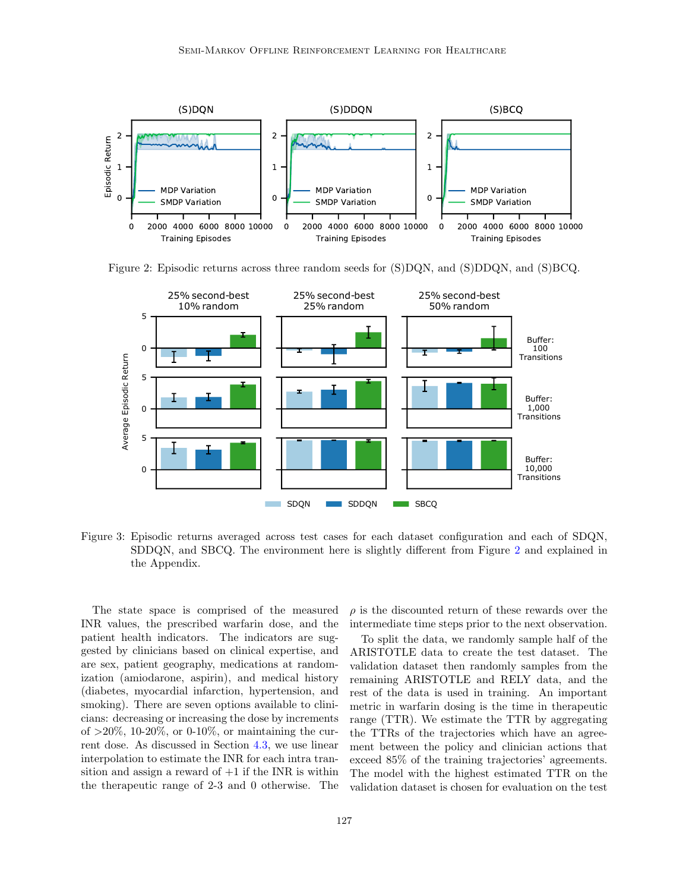

<span id="page-8-0"></span>Figure 2: Episodic returns across three random seeds for (S)DQN, and (S)DDQN, and (S)BCQ.



<span id="page-8-1"></span>Figure 3: Episodic returns averaged across test cases for each dataset configuration and each of SDQN, SDDQN, and SBCQ. The environment here is slightly different from Figure [2](#page-8-0) and explained in the Appendix.

The state space is comprised of the measured INR values, the prescribed warfarin dose, and the patient health indicators. The indicators are suggested by clinicians based on clinical expertise, and are sex, patient geography, medications at randomization (amiodarone, aspirin), and medical history (diabetes, myocardial infarction, hypertension, and smoking). There are seven options available to clinicians: decreasing or increasing the dose by increments of  $>20\%$ , 10-20%, or 0-10%, or maintaining the current dose. As discussed in Section [4.3,](#page-6-1) we use linear interpolation to estimate the INR for each intra transition and assign a reward of  $+1$  if the INR is within the therapeutic range of 2-3 and 0 otherwise. The  $\rho$  is the discounted return of these rewards over the intermediate time steps prior to the next observation.

To split the data, we randomly sample half of the ARISTOTLE data to create the test dataset. The validation dataset then randomly samples from the remaining ARISTOTLE and RELY data, and the rest of the data is used in training. An important metric in warfarin dosing is the time in therapeutic range (TTR). We estimate the TTR by aggregating the TTRs of the trajectories which have an agreement between the policy and clinician actions that exceed 85% of the training trajectories' agreements. The model with the highest estimated TTR on the validation dataset is chosen for evaluation on the test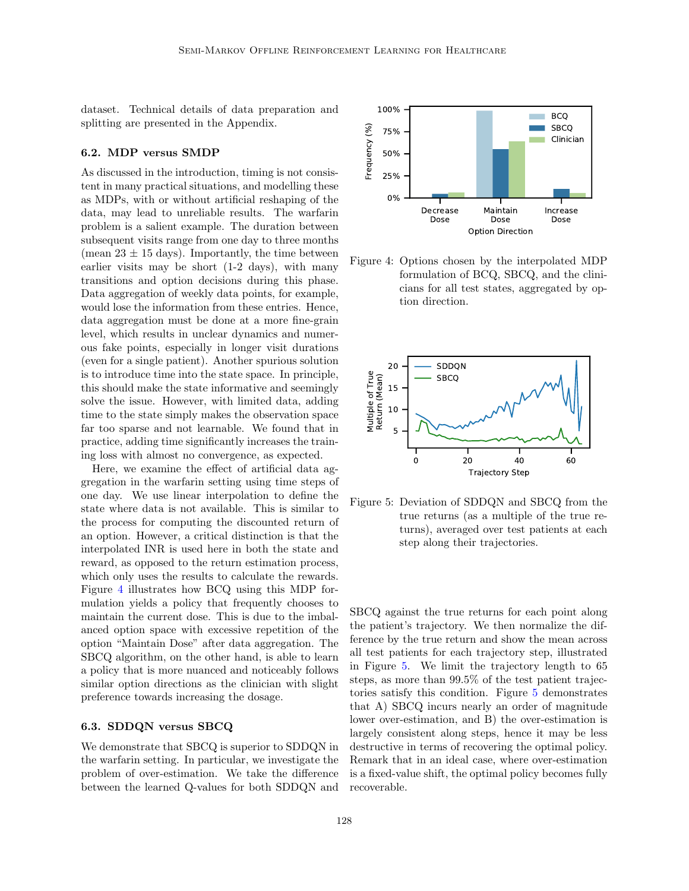dataset. Technical details of data preparation and splitting are presented in the Appendix.

#### <span id="page-9-0"></span>6.2. MDP versus SMDP

As discussed in the introduction, timing is not consistent in many practical situations, and modelling these as MDPs, with or without artificial reshaping of the data, may lead to unreliable results. The warfarin problem is a salient example. The duration between subsequent visits range from one day to three months (mean  $23 \pm 15$  days). Importantly, the time between earlier visits may be short (1-2 days), with many transitions and option decisions during this phase. Data aggregation of weekly data points, for example, would lose the information from these entries. Hence, data aggregation must be done at a more fine-grain level, which results in unclear dynamics and numerous fake points, especially in longer visit durations (even for a single patient). Another spurious solution is to introduce time into the state space. In principle, this should make the state informative and seemingly solve the issue. However, with limited data, adding time to the state simply makes the observation space far too sparse and not learnable. We found that in practice, adding time significantly increases the training loss with almost no convergence, as expected.

Here, we examine the effect of artificial data aggregation in the warfarin setting using time steps of one day. We use linear interpolation to define the state where data is not available. This is similar to the process for computing the discounted return of an option. However, a critical distinction is that the interpolated INR is used here in both the state and reward, as opposed to the return estimation process, which only uses the results to calculate the rewards. Figure [4](#page-9-1) illustrates how BCQ using this MDP formulation yields a policy that frequently chooses to maintain the current dose. This is due to the imbalanced option space with excessive repetition of the option "Maintain Dose" after data aggregation. The SBCQ algorithm, on the other hand, is able to learn a policy that is more nuanced and noticeably follows similar option directions as the clinician with slight preference towards increasing the dosage.

## 6.3. SDDQN versus SBCQ

We demonstrate that SBCQ is superior to SDDQN in the warfarin setting. In particular, we investigate the problem of over-estimation. We take the difference between the learned Q-values for both SDDQN and



<span id="page-9-1"></span>Figure 4: Options chosen by the interpolated MDP formulation of BCQ, SBCQ, and the clinicians for all test states, aggregated by option direction.



<span id="page-9-2"></span>Figure 5: Deviation of SDDQN and SBCQ from the true returns (as a multiple of the true returns), averaged over test patients at each step along their trajectories.

SBCQ against the true returns for each point along the patient's trajectory. We then normalize the difference by the true return and show the mean across all test patients for each trajectory step, illustrated in Figure [5.](#page-9-2) We limit the trajectory length to 65 steps, as more than 99.5% of the test patient trajectories satisfy this condition. Figure [5](#page-9-2) demonstrates that A) SBCQ incurs nearly an order of magnitude lower over-estimation, and B) the over-estimation is largely consistent along steps, hence it may be less destructive in terms of recovering the optimal policy. Remark that in an ideal case, where over-estimation is a fixed-value shift, the optimal policy becomes fully recoverable.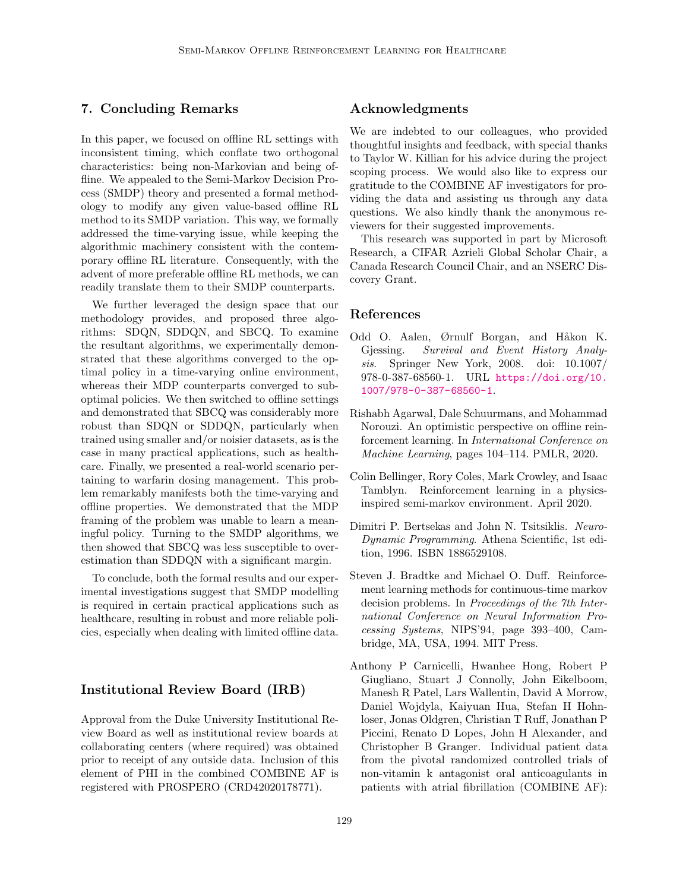## 7. Concluding Remarks

In this paper, we focused on offline RL settings with inconsistent timing, which conflate two orthogonal characteristics: being non-Markovian and being offline. We appealed to the Semi-Markov Decision Process (SMDP) theory and presented a formal methodology to modify any given value-based offline RL method to its SMDP variation. This way, we formally addressed the time-varying issue, while keeping the algorithmic machinery consistent with the contemporary offline RL literature. Consequently, with the advent of more preferable offline RL methods, we can readily translate them to their SMDP counterparts.

We further leveraged the design space that our methodology provides, and proposed three algorithms: SDQN, SDDQN, and SBCQ. To examine the resultant algorithms, we experimentally demonstrated that these algorithms converged to the optimal policy in a time-varying online environment, whereas their MDP counterparts converged to suboptimal policies. We then switched to offline settings and demonstrated that SBCQ was considerably more robust than SDQN or SDDQN, particularly when trained using smaller and/or noisier datasets, as is the case in many practical applications, such as healthcare. Finally, we presented a real-world scenario pertaining to warfarin dosing management. This problem remarkably manifests both the time-varying and offline properties. We demonstrated that the MDP framing of the problem was unable to learn a meaningful policy. Turning to the SMDP algorithms, we then showed that SBCQ was less susceptible to overestimation than SDDQN with a significant margin.

To conclude, both the formal results and our experimental investigations suggest that SMDP modelling is required in certain practical applications such as healthcare, resulting in robust and more reliable policies, especially when dealing with limited offline data.

# Institutional Review Board (IRB)

Approval from the Duke University Institutional Review Board as well as institutional review boards at collaborating centers (where required) was obtained prior to receipt of any outside data. Inclusion of this element of PHI in the combined COMBINE AF is registered with PROSPERO (CRD42020178771).

## Acknowledgments

We are indebted to our colleagues, who provided thoughtful insights and feedback, with special thanks to Taylor W. Killian for his advice during the project scoping process. We would also like to express our gratitude to the COMBINE AF investigators for providing the data and assisting us through any data questions. We also kindly thank the anonymous reviewers for their suggested improvements.

This research was supported in part by Microsoft Research, a CIFAR Azrieli Global Scholar Chair, a Canada Research Council Chair, and an NSERC Discovery Grant.

### References

- <span id="page-10-3"></span>Odd O. Aalen, Ørnulf Borgan, and Håkon K. Gjessing. Survival and Event History Analysis. Springer New York, 2008. doi: 10.1007/ 978-0-387-68560-1. URL [https://doi.org/10.](https://doi.org/10.1007/978-0-387-68560-1) [1007/978-0-387-68560-1](https://doi.org/10.1007/978-0-387-68560-1).
- <span id="page-10-5"></span>Rishabh Agarwal, Dale Schuurmans, and Mohammad Norouzi. An optimistic perspective on offline reinforcement learning. In International Conference on Machine Learning, pages 104–114. PMLR, 2020.
- <span id="page-10-4"></span>Colin Bellinger, Rory Coles, Mark Crowley, and Isaac Tamblyn. Reinforcement learning in a physicsinspired semi-markov environment. April 2020.
- <span id="page-10-1"></span>Dimitri P. Bertsekas and John N. Tsitsiklis. Neuro-Dynamic Programming. Athena Scientific, 1st edition, 1996. ISBN 1886529108.
- <span id="page-10-2"></span>Steven J. Bradtke and Michael O. Duff. Reinforcement learning methods for continuous-time markov decision problems. In Proceedings of the 7th International Conference on Neural Information Processing Systems, NIPS'94, page 393–400, Cambridge, MA, USA, 1994. MIT Press.
- <span id="page-10-0"></span>Anthony P Carnicelli, Hwanhee Hong, Robert P Giugliano, Stuart J Connolly, John Eikelboom, Manesh R Patel, Lars Wallentin, David A Morrow, Daniel Wojdyla, Kaiyuan Hua, Stefan H Hohnloser, Jonas Oldgren, Christian T Ruff, Jonathan P Piccini, Renato D Lopes, John H Alexander, and Christopher B Granger. Individual patient data from the pivotal randomized controlled trials of non-vitamin k antagonist oral anticoagulants in patients with atrial fibrillation (COMBINE AF):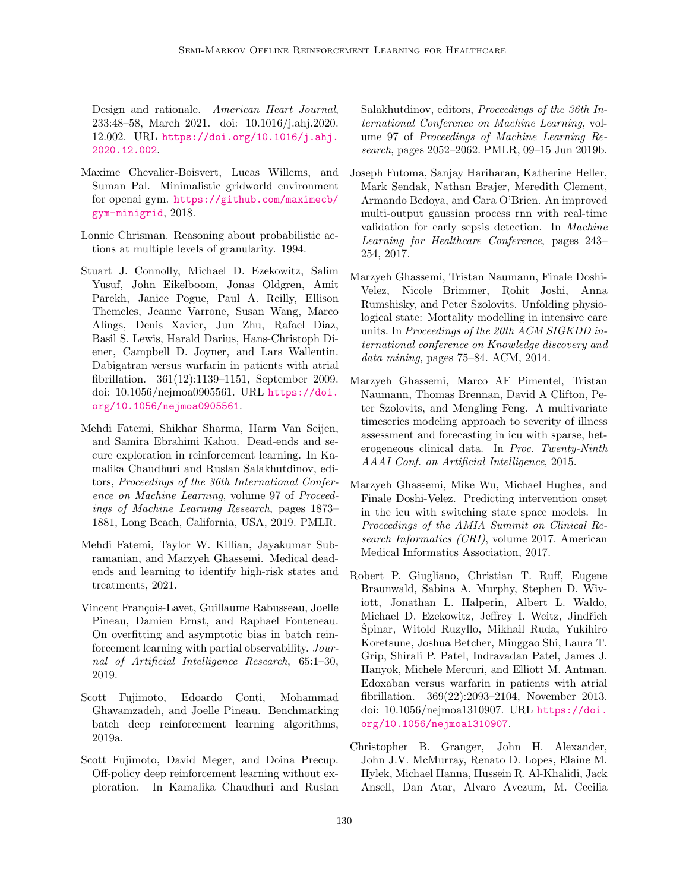Design and rationale. American Heart Journal, 233:48–58, March 2021. doi: 10.1016/j.ahj.2020. 12.002. URL [https://doi.org/10.1016/j.ahj.](https://doi.org/10.1016/j.ahj.2020.12.002) [2020.12.002](https://doi.org/10.1016/j.ahj.2020.12.002).

- <span id="page-11-10"></span>Maxime Chevalier-Boisvert, Lucas Willems, and Suman Pal. Minimalistic gridworld environment for openai gym. [https://github.com/maximecb/](https://github.com/maximecb/gym-minigrid) [gym-minigrid](https://github.com/maximecb/gym-minigrid), 2018.
- <span id="page-11-3"></span>Lonnie Chrisman. Reasoning about probabilistic actions at multiple levels of granularity. 1994.
- <span id="page-11-13"></span>Stuart J. Connolly, Michael D. Ezekowitz, Salim Yusuf, John Eikelboom, Jonas Oldgren, Amit Parekh, Janice Pogue, Paul A. Reilly, Ellison Themeles, Jeanne Varrone, Susan Wang, Marco Alings, Denis Xavier, Jun Zhu, Rafael Diaz, Basil S. Lewis, Harald Darius, Hans-Christoph Diener, Campbell D. Joyner, and Lars Wallentin. Dabigatran versus warfarin in patients with atrial fibrillation. 361(12):1139–1151, September 2009. doi: 10.1056/nejmoa0905561. URL [https://doi.](https://doi.org/10.1056/nejmoa0905561) [org/10.1056/nejmoa0905561](https://doi.org/10.1056/nejmoa0905561).
- <span id="page-11-8"></span>Mehdi Fatemi, Shikhar Sharma, Harm Van Seijen, and Samira Ebrahimi Kahou. Dead-ends and secure exploration in reinforcement learning. In Kamalika Chaudhuri and Ruslan Salakhutdinov, editors, Proceedings of the 36th International Conference on Machine Learning, volume 97 of Proceedings of Machine Learning Research, pages 1873– 1881, Long Beach, California, USA, 2019. PMLR.
- <span id="page-11-4"></span>Mehdi Fatemi, Taylor W. Killian, Jayakumar Subramanian, and Marzyeh Ghassemi. Medical deadends and learning to identify high-risk states and treatments, 2021.
- <span id="page-11-7"></span>Vincent François-Lavet, Guillaume Rabusseau, Joelle Pineau, Damien Ernst, and Raphael Fonteneau. On overfitting and asymptotic bias in batch reinforcement learning with partial observability. Journal of Artificial Intelligence Research, 65:1–30, 2019.
- <span id="page-11-9"></span>Scott Fujimoto, Edoardo Conti, Mohammad Ghavamzadeh, and Joelle Pineau. Benchmarking batch deep reinforcement learning algorithms, 2019a.
- <span id="page-11-5"></span>Scott Fujimoto, David Meger, and Doina Precup. Off-policy deep reinforcement learning without exploration. In Kamalika Chaudhuri and Ruslan

Salakhutdinov, editors, Proceedings of the 36th International Conference on Machine Learning, volume 97 of Proceedings of Machine Learning Research, pages 2052–2062. PMLR, 09–15 Jun 2019b.

- <span id="page-11-6"></span>Joseph Futoma, Sanjay Hariharan, Katherine Heller, Mark Sendak, Nathan Brajer, Meredith Clement, Armando Bedoya, and Cara O'Brien. An improved multi-output gaussian process rnn with real-time validation for early sepsis detection. In Machine Learning for Healthcare Conference, pages 243– 254, 2017.
- <span id="page-11-0"></span>Marzyeh Ghassemi, Tristan Naumann, Finale Doshi-Velez, Nicole Brimmer, Rohit Joshi, Anna Rumshisky, and Peter Szolovits. Unfolding physiological state: Mortality modelling in intensive care units. In Proceedings of the 20th ACM SIGKDD international conference on Knowledge discovery and data mining, pages 75–84. ACM, 2014.
- <span id="page-11-1"></span>Marzyeh Ghassemi, Marco AF Pimentel, Tristan Naumann, Thomas Brennan, David A Clifton, Peter Szolovits, and Mengling Feng. A multivariate timeseries modeling approach to severity of illness assessment and forecasting in icu with sparse, heterogeneous clinical data. In Proc. Twenty-Ninth AAAI Conf. on Artificial Intelligence, 2015.
- <span id="page-11-2"></span>Marzyeh Ghassemi, Mike Wu, Michael Hughes, and Finale Doshi-Velez. Predicting intervention onset in the icu with switching state space models. In Proceedings of the AMIA Summit on Clinical Research Informatics (CRI), volume 2017. American Medical Informatics Association, 2017.
- <span id="page-11-12"></span>Robert P. Giugliano, Christian T. Ruff, Eugene Braunwald, Sabina A. Murphy, Stephen D. Wiviott, Jonathan L. Halperin, Albert L. Waldo, Michael D. Ezekowitz, Jeffrey I. Weitz, Jindřich Špinar, Witold Ruzyllo, Mikhail Ruda, Yukihiro Koretsune, Joshua Betcher, Minggao Shi, Laura T. Grip, Shirali P. Patel, Indravadan Patel, James J. Hanyok, Michele Mercuri, and Elliott M. Antman. Edoxaban versus warfarin in patients with atrial fibrillation. 369(22):2093–2104, November 2013. doi: 10.1056/nejmoa1310907. URL [https://doi.](https://doi.org/10.1056/nejmoa1310907) [org/10.1056/nejmoa1310907](https://doi.org/10.1056/nejmoa1310907).
- <span id="page-11-11"></span>Christopher B. Granger, John H. Alexander, John J.V. McMurray, Renato D. Lopes, Elaine M. Hylek, Michael Hanna, Hussein R. Al-Khalidi, Jack Ansell, Dan Atar, Alvaro Avezum, M. Cecilia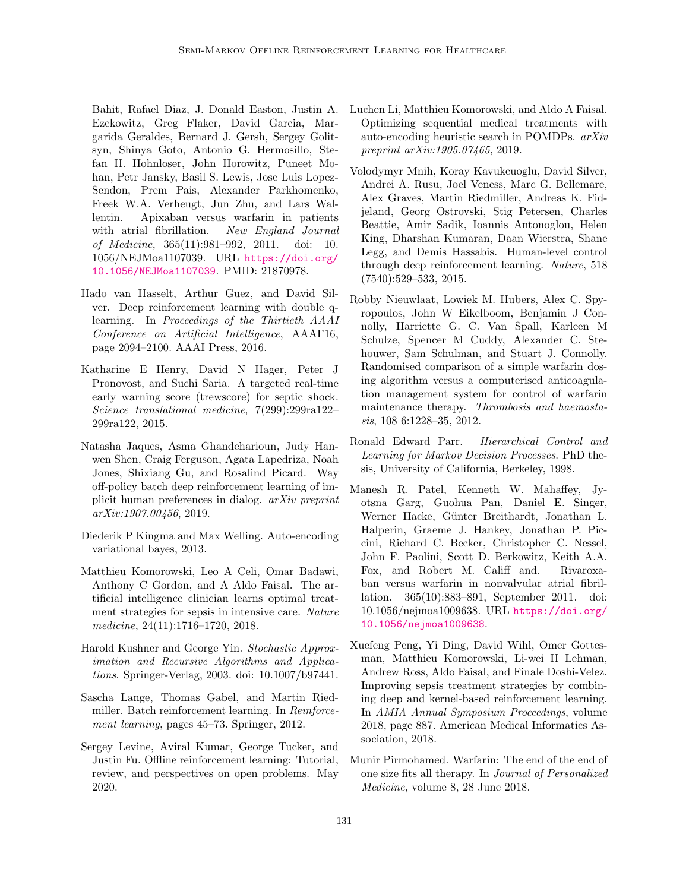Bahit, Rafael Diaz, J. Donald Easton, Justin A. Ezekowitz, Greg Flaker, David Garcia, Margarida Geraldes, Bernard J. Gersh, Sergey Golitsyn, Shinya Goto, Antonio G. Hermosillo, Stefan H. Hohnloser, John Horowitz, Puneet Mohan, Petr Jansky, Basil S. Lewis, Jose Luis Lopez-Sendon, Prem Pais, Alexander Parkhomenko, Freek W.A. Verheugt, Jun Zhu, and Lars Wallentin. Apixaban versus warfarin in patients with atrial fibrillation. New England Journal of Medicine, 365(11):981–992, 2011. doi: 10. 1056/NEJMoa1107039. URL [https://doi.org/](https://doi.org/10.1056/NEJMoa1107039) [10.1056/NEJMoa1107039](https://doi.org/10.1056/NEJMoa1107039). PMID: 21870978.

- <span id="page-12-11"></span>Hado van Hasselt, Arthur Guez, and David Silver. Deep reinforcement learning with double qlearning. In Proceedings of the Thirtieth AAAI Conference on Artificial Intelligence, AAAI'16, page 2094–2100. AAAI Press, 2016.
- <span id="page-12-3"></span>Katharine E Henry, David N Hager, Peter J Pronovost, and Suchi Saria. A targeted real-time early warning score (trewscore) for septic shock. Science translational medicine, 7(299):299ra122– 299ra122, 2015.
- <span id="page-12-7"></span>Natasha Jaques, Asma Ghandeharioun, Judy Hanwen Shen, Craig Ferguson, Agata Lapedriza, Noah Jones, Shixiang Gu, and Rosalind Picard. Way off-policy batch deep reinforcement learning of implicit human preferences in dialog. arXiv preprint arXiv:1907.00456, 2019.
- <span id="page-12-12"></span>Diederik P Kingma and Max Welling. Auto-encoding variational bayes, 2013.
- <span id="page-12-4"></span>Matthieu Komorowski, Leo A Celi, Omar Badawi, Anthony C Gordon, and A Aldo Faisal. The artificial intelligence clinician learns optimal treatment strategies for sepsis in intensive care. Nature medicine, 24(11):1716–1720, 2018.
- <span id="page-12-8"></span>Harold Kushner and George Yin. Stochastic Approximation and Recursive Algorithms and Applications. Springer-Verlag, 2003. doi: 10.1007/b97441.
- <span id="page-12-2"></span>Sascha Lange, Thomas Gabel, and Martin Riedmiller. Batch reinforcement learning. In Reinforcement learning, pages 45–73. Springer, 2012.
- <span id="page-12-9"></span>Sergey Levine, Aviral Kumar, George Tucker, and Justin Fu. Offline reinforcement learning: Tutorial, review, and perspectives on open problems. May 2020.
- <span id="page-12-6"></span>Luchen Li, Matthieu Komorowski, and Aldo A Faisal. Optimizing sequential medical treatments with auto-encoding heuristic search in POMDPs. arXiv preprint arXiv:1905.07465, 2019.
- <span id="page-12-10"></span>Volodymyr Mnih, Koray Kavukcuoglu, David Silver, Andrei A. Rusu, Joel Veness, Marc G. Bellemare, Alex Graves, Martin Riedmiller, Andreas K. Fidjeland, Georg Ostrovski, Stig Petersen, Charles Beattie, Amir Sadik, Ioannis Antonoglou, Helen King, Dharshan Kumaran, Daan Wierstra, Shane Legg, and Demis Hassabis. Human-level control through deep reinforcement learning. Nature, 518 (7540):529–533, 2015.
- <span id="page-12-14"></span>Robby Nieuwlaat, Lowiek M. Hubers, Alex C. Spyropoulos, John W Eikelboom, Benjamin J Connolly, Harriette G. C. Van Spall, Karleen M Schulze, Spencer M Cuddy, Alexander C. Stehouwer, Sam Schulman, and Stuart J. Connolly. Randomised comparison of a simple warfarin dosing algorithm versus a computerised anticoagulation management system for control of warfarin maintenance therapy. Thrombosis and haemostasis, 108 6:1228–35, 2012.
- <span id="page-12-1"></span>Ronald Edward Parr. Hierarchical Control and Learning for Markov Decision Processes. PhD thesis, University of California, Berkeley, 1998.
- <span id="page-12-13"></span>Manesh R. Patel, Kenneth W. Mahaffey, Jyotsna Garg, Guohua Pan, Daniel E. Singer, Werner Hacke, Günter Breithardt, Jonathan L. Halperin, Graeme J. Hankey, Jonathan P. Piccini, Richard C. Becker, Christopher C. Nessel, John F. Paolini, Scott D. Berkowitz, Keith A.A. Fox, and Robert M. Califf and. Rivaroxaban versus warfarin in nonvalvular atrial fibrillation. 365(10):883–891, September 2011. doi: 10.1056/nejmoa1009638. URL [https://doi.org/](https://doi.org/10.1056/nejmoa1009638) [10.1056/nejmoa1009638](https://doi.org/10.1056/nejmoa1009638).
- <span id="page-12-5"></span>Xuefeng Peng, Yi Ding, David Wihl, Omer Gottesman, Matthieu Komorowski, Li-wei H Lehman, Andrew Ross, Aldo Faisal, and Finale Doshi-Velez. Improving sepsis treatment strategies by combining deep and kernel-based reinforcement learning. In AMIA Annual Symposium Proceedings, volume 2018, page 887. American Medical Informatics Association, 2018.
- <span id="page-12-0"></span>Munir Pirmohamed. Warfarin: The end of the end of one size fits all therapy. In Journal of Personalized Medicine, volume 8, 28 June 2018.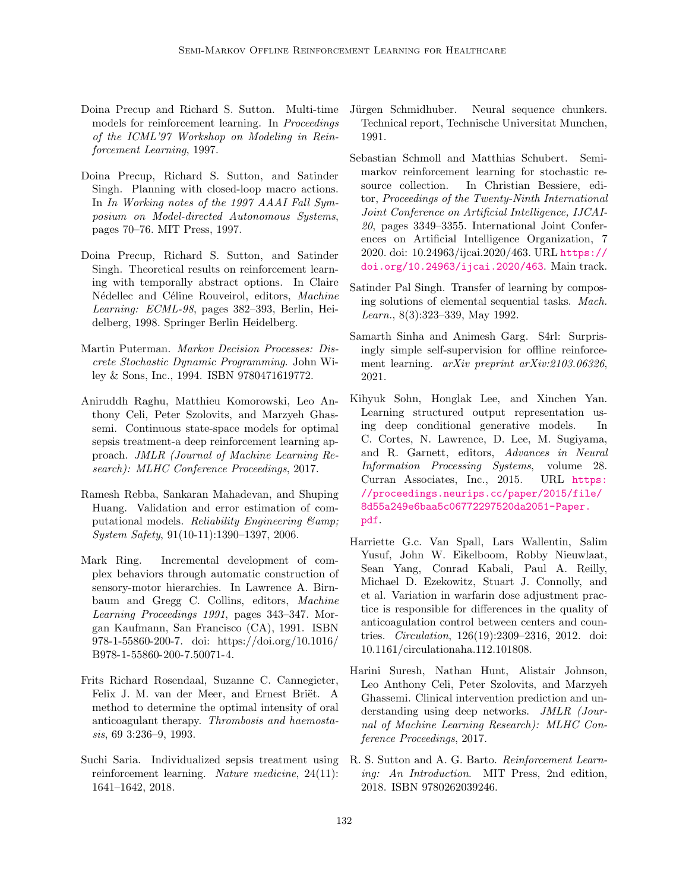- <span id="page-13-8"></span>Doina Precup and Richard S. Sutton. Multi-time models for reinforcement learning. In Proceedings of the ICML'97 Workshop on Modeling in Reinforcement Learning, 1997.
- <span id="page-13-7"></span>Doina Precup, Richard S. Sutton, and Satinder Singh. Planning with closed-loop macro actions. In In Working notes of the 1997 AAAI Fall Symposium on Model-directed Autonomous Systems, pages 70–76. MIT Press, 1997.
- <span id="page-13-9"></span>Doina Precup, Richard S. Sutton, and Satinder Singh. Theoretical results on reinforcement learning with temporally abstract options. In Claire Nédellec and Céline Rouveirol, editors, Machine Learning: ECML-98, pages 382–393, Berlin, Heidelberg, 1998. Springer Berlin Heidelberg.
- <span id="page-13-0"></span>Martin Puterman. Markov Decision Processes: Discrete Stochastic Dynamic Programming. John Wiley & Sons, Inc., 1994. ISBN 9780471619772.
- <span id="page-13-2"></span>Aniruddh Raghu, Matthieu Komorowski, Leo Anthony Celi, Peter Szolovits, and Marzyeh Ghassemi. Continuous state-space models for optimal sepsis treatment-a deep reinforcement learning approach. JMLR (Journal of Machine Learning Research): MLHC Conference Proceedings, 2017.
- <span id="page-13-13"></span>Ramesh Rebba, Sankaran Mahadevan, and Shuping Huang. Validation and error estimation of computational models. Reliability Engineering Eamp: System Safety, 91(10-11):1390–1397, 2006.
- <span id="page-13-4"></span>Mark Ring. Incremental development of complex behaviors through automatic construction of sensory-motor hierarchies. In Lawrence A. Birnbaum and Gregg C. Collins, editors, Machine Learning Proceedings 1991, pages 343–347. Morgan Kaufmann, San Francisco (CA), 1991. ISBN 978-1-55860-200-7. doi: https://doi.org/10.1016/ B978-1-55860-200-7.50071-4.
- <span id="page-13-15"></span>Frits Richard Rosendaal, Suzanne C. Cannegieter, Felix J. M. van der Meer, and Ernest Briët. A method to determine the optimal intensity of oral anticoagulant therapy. Thrombosis and haemostasis, 69 3:236–9, 1993.
- <span id="page-13-10"></span>Suchi Saria. Individualized sepsis treatment using reinforcement learning. Nature medicine, 24(11): 1641–1642, 2018.
- <span id="page-13-5"></span>Jürgen Schmidhuber. Neural sequence chunkers. Technical report, Technische Universitat Munchen, 1991.
- <span id="page-13-11"></span>Sebastian Schmoll and Matthias Schubert. Semimarkov reinforcement learning for stochastic resource collection. In Christian Bessiere, editor, Proceedings of the Twenty-Ninth International Joint Conference on Artificial Intelligence, IJCAI-20, pages 3349–3355. International Joint Conferences on Artificial Intelligence Organization, 7 2020. doi: 10.24963/ijcai.2020/463. URL [https://](https://doi.org/10.24963/ijcai.2020/463) [doi.org/10.24963/ijcai.2020/463](https://doi.org/10.24963/ijcai.2020/463). Main track.
- <span id="page-13-6"></span>Satinder Pal Singh. Transfer of learning by composing solutions of elemental sequential tasks. Mach. Learn., 8(3):323–339, May 1992.
- <span id="page-13-12"></span>Samarth Sinha and Animesh Garg. S4rl: Surprisingly simple self-supervision for offline reinforcement learning. arXiv preprint arXiv:2103.06326, 2021.
- <span id="page-13-14"></span>Kihyuk Sohn, Honglak Lee, and Xinchen Yan. Learning structured output representation using deep conditional generative models. In C. Cortes, N. Lawrence, D. Lee, M. Sugiyama, and R. Garnett, editors, Advances in Neural Information Processing Systems, volume 28. Curran Associates, Inc., 2015. URL [https:](https://proceedings.neurips.cc/paper/2015/file/8d55a249e6baa5c06772297520da2051-Paper.pdf) [//proceedings.neurips.cc/paper/2015/file/](https://proceedings.neurips.cc/paper/2015/file/8d55a249e6baa5c06772297520da2051-Paper.pdf) [8d55a249e6baa5c06772297520da2051-Paper.](https://proceedings.neurips.cc/paper/2015/file/8d55a249e6baa5c06772297520da2051-Paper.pdf) [pdf](https://proceedings.neurips.cc/paper/2015/file/8d55a249e6baa5c06772297520da2051-Paper.pdf).
- <span id="page-13-16"></span>Harriette G.c. Van Spall, Lars Wallentin, Salim Yusuf, John W. Eikelboom, Robby Nieuwlaat, Sean Yang, Conrad Kabali, Paul A. Reilly, Michael D. Ezekowitz, Stuart J. Connolly, and et al. Variation in warfarin dose adjustment practice is responsible for differences in the quality of anticoagulation control between centers and countries. Circulation, 126(19):2309–2316, 2012. doi: 10.1161/circulationaha.112.101808.
- <span id="page-13-1"></span>Harini Suresh, Nathan Hunt, Alistair Johnson, Leo Anthony Celi, Peter Szolovits, and Marzyeh Ghassemi. Clinical intervention prediction and understanding using deep networks. JMLR (Journal of Machine Learning Research): MLHC Conference Proceedings, 2017.
- <span id="page-13-3"></span>R. S. Sutton and A. G. Barto. Reinforcement Learning: An Introduction. MIT Press, 2nd edition, 2018. ISBN 9780262039246.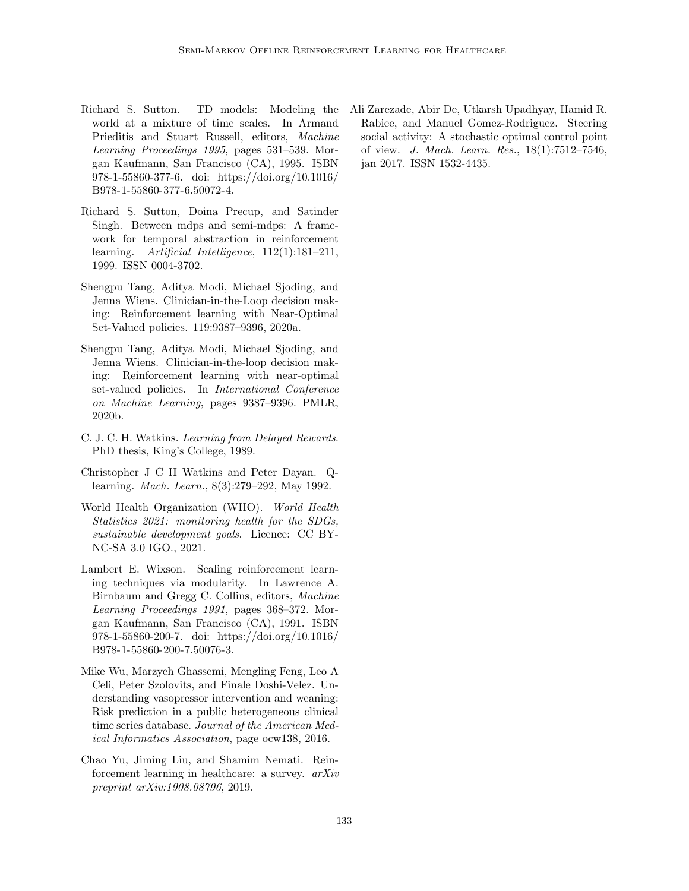- <span id="page-14-4"></span>Richard S. Sutton. TD models: Modeling the world at a mixture of time scales. In Armand Prieditis and Stuart Russell, editors, Machine Learning Proceedings 1995, pages 531–539. Morgan Kaufmann, San Francisco (CA), 1995. ISBN 978-1-55860-377-6. doi: https://doi.org/10.1016/ B978-1-55860-377-6.50072-4.
- <span id="page-14-2"></span>Richard S. Sutton, Doina Precup, and Satinder Singh. Between mdps and semi-mdps: A framework for temporal abstraction in reinforcement learning. Artificial Intelligence, 112(1):181–211, 1999. ISSN 0004-3702.
- <span id="page-14-8"></span>Shengpu Tang, Aditya Modi, Michael Sjoding, and Jenna Wiens. Clinician-in-the-Loop decision making: Reinforcement learning with Near-Optimal Set-Valued policies. 119:9387–9396, 2020a.
- <span id="page-14-7"></span>Shengpu Tang, Aditya Modi, Michael Sjoding, and Jenna Wiens. Clinician-in-the-loop decision making: Reinforcement learning with near-optimal set-valued policies. In International Conference on Machine Learning, pages 9387–9396. PMLR, 2020b.
- <span id="page-14-9"></span>C. J. C. H. Watkins. Learning from Delayed Rewards. PhD thesis, King's College, 1989.
- <span id="page-14-10"></span>Christopher J C H Watkins and Peter Dayan. Qlearning. Mach. Learn., 8(3):279–292, May 1992.
- <span id="page-14-1"></span>World Health Organization (WHO). World Health Statistics 2021: monitoring health for the SDGs, sustainable development goals. Licence: CC BY-NC-SA 3.0 IGO., 2021.
- <span id="page-14-3"></span>Lambert E. Wixson. Scaling reinforcement learning techniques via modularity. In Lawrence A. Birnbaum and Gregg C. Collins, editors, Machine Learning Proceedings 1991, pages 368–372. Morgan Kaufmann, San Francisco (CA), 1991. ISBN 978-1-55860-200-7. doi: https://doi.org/10.1016/ B978-1-55860-200-7.50076-3.
- <span id="page-14-0"></span>Mike Wu, Marzyeh Ghassemi, Mengling Feng, Leo A Celi, Peter Szolovits, and Finale Doshi-Velez. Understanding vasopressor intervention and weaning: Risk prediction in a public heterogeneous clinical time series database. Journal of the American Medical Informatics Association, page ocw138, 2016.
- <span id="page-14-6"></span>Chao Yu, Jiming Liu, and Shamim Nemati. Reinforcement learning in healthcare: a survey. arXiv preprint arXiv:1908.08796, 2019.

<span id="page-14-5"></span>Ali Zarezade, Abir De, Utkarsh Upadhyay, Hamid R. Rabiee, and Manuel Gomez-Rodriguez. Steering social activity: A stochastic optimal control point of view. J. Mach. Learn. Res., 18(1):7512–7546, jan 2017. ISSN 1532-4435.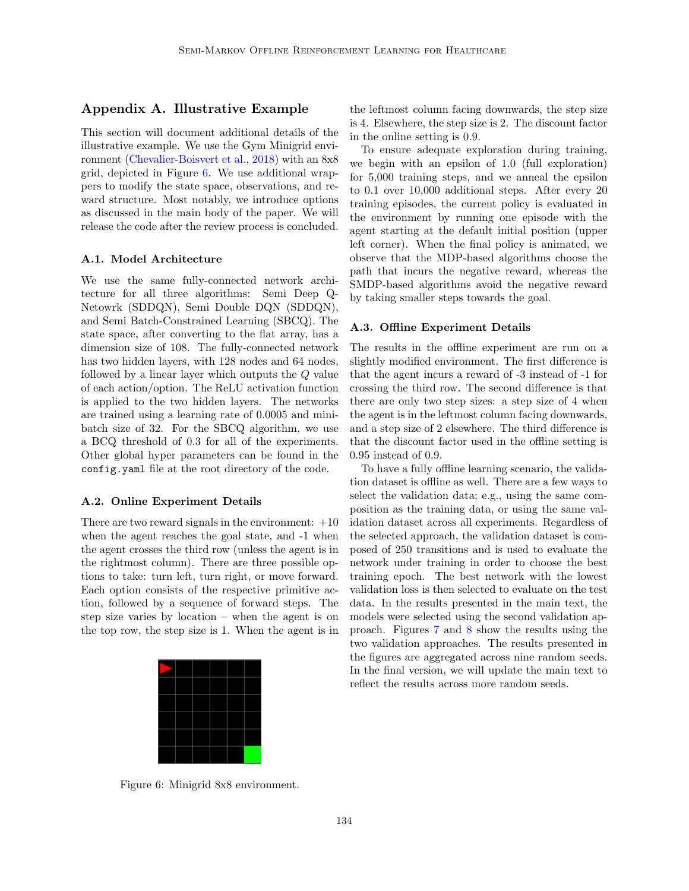## Appendix A. Illustrative Example

This section will document additional details of the illustrative example. We use the Gym Minigrid environment [\(Chevalier-Boisvert et al.,](#page-11-10) [2018\)](#page-11-10) with an 8x8 grid, depicted in Figure [6.](#page-15-0) We use additional wrappers to modify the state space, observations, and reward structure. Most notably, we introduce options as discussed in the main body of the paper. We will release the code after the review process is concluded.

#### A.1. Model Architecture

We use the same fully-connected network architecture for all three algorithms: Semi Deep Q-Netowrk (SDDQN), Semi Double DQN (SDDQN), and Semi Batch-Constrained Learning (SBCQ). The state space, after converting to the flat array, has a dimension size of 108. The fully-connected network has two hidden layers, with 128 nodes and 64 nodes, followed by a linear layer which outputs the Q value of each action/option. The ReLU activation function is applied to the two hidden layers. The networks are trained using a learning rate of 0.0005 and minibatch size of 32. For the SBCQ algorithm, we use a BCQ threshold of 0.3 for all of the experiments. Other global hyper parameters can be found in the config.yaml file at the root directory of the code.

#### A.2. Online Experiment Details

There are two reward signals in the environment:  $+10$ when the agent reaches the goal state, and -1 when the agent crosses the third row (unless the agent is in the rightmost column). There are three possible options to take: turn left, turn right, or move forward. Each option consists of the respective primitive action, followed by a sequence of forward steps. The step size varies by location – when the agent is on the top row, the step size is 1. When the agent is in



the leftmost column facing downwards, the step size is 4. Elsewhere, the step size is 2. The discount factor in the online setting is 0.9.

To ensure adequate exploration during training, we begin with an epsilon of 1.0 (full exploration) for 5,000 training steps, and we anneal the epsilon to 0.1 over 10,000 additional steps. After every 20 training episodes, the current policy is evaluated in the environment by running one episode with the agent starting at the default initial position (upper left corner). When the final policy is animated, we observe that the MDP-based algorithms choose the path that incurs the negative reward, whereas the SMDP-based algorithms avoid the negative reward by taking smaller steps towards the goal.

#### A.3. Offline Experiment Details

The results in the offline experiment are run on a slightly modified environment. The first difference is that the agent incurs a reward of -3 instead of -1 for crossing the third row. The second difference is that there are only two step sizes: a step size of 4 when the agent is in the leftmost column facing downwards, and a step size of 2 elsewhere. The third difference is that the discount factor used in the offline setting is 0.95 instead of 0.9.

To have a fully offline learning scenario, the validation dataset is offline as well. There are a few ways to select the validation data; e.g., using the same composition as the training data, or using the same validation dataset across all experiments. Regardless of the selected approach, the validation dataset is composed of 250 transitions and is used to evaluate the network under training in order to choose the best training epoch. The best network with the lowest validation loss is then selected to evaluate on the test data. In the results presented in the main text, the models were selected using the second validation approach. Figures [7](#page-16-0) and [8](#page-16-1) show the results using the two validation approaches. The results presented in the figures are aggregated across nine random seeds. In the final version, we will update the main text to reflect the results across more random seeds.

<span id="page-15-0"></span>Figure 6: Minigrid 8x8 environment.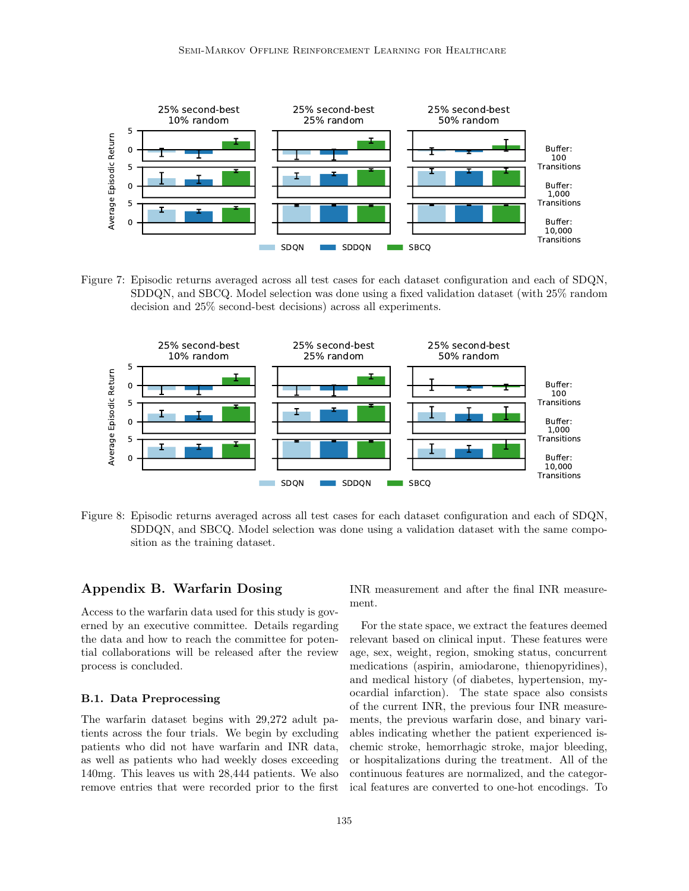

<span id="page-16-0"></span>Figure 7: Episodic returns averaged across all test cases for each dataset configuration and each of SDQN, SDDQN, and SBCQ. Model selection was done using a fixed validation dataset (with 25% random decision and 25% second-best decisions) across all experiments.



<span id="page-16-1"></span>Figure 8: Episodic returns averaged across all test cases for each dataset configuration and each of SDQN, SDDQN, and SBCQ. Model selection was done using a validation dataset with the same composition as the training dataset.

## Appendix B. Warfarin Dosing

Access to the warfarin data used for this study is governed by an executive committee. Details regarding the data and how to reach the committee for potential collaborations will be released after the review process is concluded.

## B.1. Data Preprocessing

The warfarin dataset begins with 29,272 adult patients across the four trials. We begin by excluding patients who did not have warfarin and INR data, as well as patients who had weekly doses exceeding 140mg. This leaves us with 28,444 patients. We also remove entries that were recorded prior to the first

INR measurement and after the final INR measurement.

For the state space, we extract the features deemed relevant based on clinical input. These features were age, sex, weight, region, smoking status, concurrent medications (aspirin, amiodarone, thienopyridines), and medical history (of diabetes, hypertension, myocardial infarction). The state space also consists of the current INR, the previous four INR measurements, the previous warfarin dose, and binary variables indicating whether the patient experienced ischemic stroke, hemorrhagic stroke, major bleeding, or hospitalizations during the treatment. All of the continuous features are normalized, and the categorical features are converted to one-hot encodings. To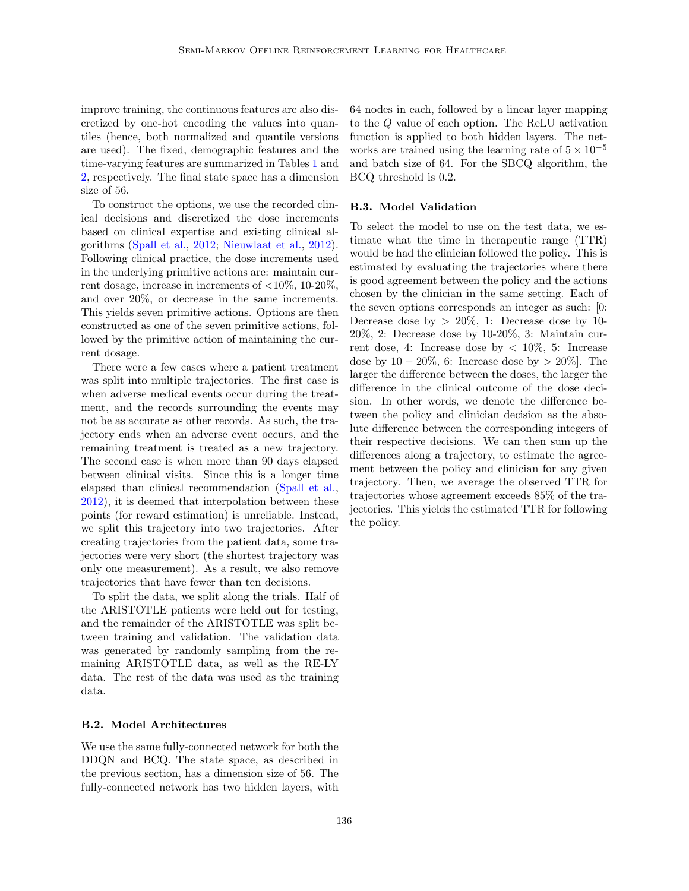improve training, the continuous features are also discretized by one-hot encoding the values into quantiles (hence, both normalized and quantile versions are used). The fixed, demographic features and the time-varying features are summarized in Tables [1](#page-18-1) and [2,](#page-18-2) respectively. The final state space has a dimension size of 56.

To construct the options, we use the recorded clinical decisions and discretized the dose increments based on clinical expertise and existing clinical algorithms [\(Spall et al.,](#page-13-16) [2012;](#page-13-16) [Nieuwlaat et al.,](#page-12-14) [2012\)](#page-12-14). Following clinical practice, the dose increments used in the underlying primitive actions are: maintain current dosage, increase in increments of  $\langle 10\%, 10\text{-}20\%,$ and over 20%, or decrease in the same increments. This yields seven primitive actions. Options are then constructed as one of the seven primitive actions, followed by the primitive action of maintaining the current dosage.

There were a few cases where a patient treatment was split into multiple trajectories. The first case is when adverse medical events occur during the treatment, and the records surrounding the events may not be as accurate as other records. As such, the trajectory ends when an adverse event occurs, and the remaining treatment is treated as a new trajectory. The second case is when more than 90 days elapsed between clinical visits. Since this is a longer time elapsed than clinical recommendation [\(Spall et al.,](#page-13-16) [2012\)](#page-13-16), it is deemed that interpolation between these points (for reward estimation) is unreliable. Instead, we split this trajectory into two trajectories. After creating trajectories from the patient data, some trajectories were very short (the shortest trajectory was only one measurement). As a result, we also remove trajectories that have fewer than ten decisions.

To split the data, we split along the trials. Half of the ARISTOTLE patients were held out for testing, and the remainder of the ARISTOTLE was split between training and validation. The validation data was generated by randomly sampling from the remaining ARISTOTLE data, as well as the RE-LY data. The rest of the data was used as the training data.

#### B.2. Model Architectures

We use the same fully-connected network for both the DDQN and BCQ. The state space, as described in the previous section, has a dimension size of 56. The fully-connected network has two hidden layers, with

64 nodes in each, followed by a linear layer mapping to the Q value of each option. The ReLU activation function is applied to both hidden layers. The networks are trained using the learning rate of  $5 \times 10^{-5}$ and batch size of 64. For the SBCQ algorithm, the BCQ threshold is 0.2.

#### B.3. Model Validation

To select the model to use on the test data, we estimate what the time in therapeutic range (TTR) would be had the clinician followed the policy. This is estimated by evaluating the trajectories where there is good agreement between the policy and the actions chosen by the clinician in the same setting. Each of the seven options corresponds an integer as such: [0: Decrease dose by  $> 20\%$ , 1: Decrease dose by 10-20%, 2: Decrease dose by 10-20%, 3: Maintain current dose, 4: Increase dose by  $\langle 10\%, 5: \rangle$  Increase dose by  $10 - 20\%$ , 6: Increase dose by  $> 20\%$ . The larger the difference between the doses, the larger the difference in the clinical outcome of the dose decision. In other words, we denote the difference between the policy and clinician decision as the absolute difference between the corresponding integers of their respective decisions. We can then sum up the differences along a trajectory, to estimate the agreement between the policy and clinician for any given trajectory. Then, we average the observed TTR for trajectories whose agreement exceeds 85% of the trajectories. This yields the estimated TTR for following the policy.